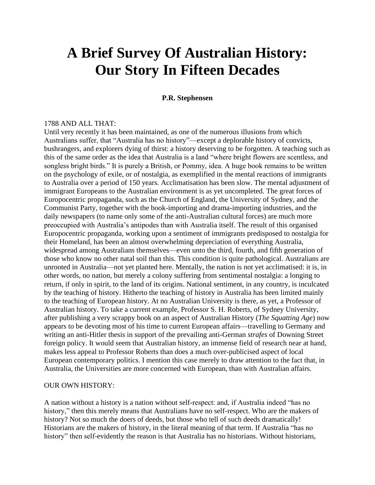# **A Brief Survey Of Australian History: Our Story In Fifteen Decades**

#### **P.R. Stephensen**

#### 1788 AND ALL THAT:

Until very recently it has been maintained, as one of the numerous illusions from which Australians suffer, that "Australia has no history"—except a deplorable history of convicts, bushrangers, and explorers dying of thirst: a history deserving to be forgotten. A teaching such as this of the same order as the idea that Australia is a land "where bright flowers are scentless, and songless bright birds." It is purely a British, or Pommy, idea. A huge book remains to be written on the psychology of exile, or of nostalgia, as exemplified in the mental reactions of immigrants to Australia over a period of 150 years. Acclimatisation has been slow. The mental adjustment of immigrant Europeans to the Australian environment is as yet uncompleted. The great forces of Europocentric propaganda, such as the Church of England, the University of Sydney, and the Communist Party, together with the book-importing and drama-importing industries, and the daily newspapers (to name only some of the anti-Australian cultural forces) are much more preoccupied with Australia's antipodes than with Australia itself. The result of this organised Europocentric propaganda, working upon a sentiment of immigrants predisposed to nostalgia for their Homeland, has been an almost overwhelming depreciation of everything Australia, widespread among Australians themselves—even unto the third, fourth, and fifth generation of those who know no other natal soil than this. This condition is quite pathological. Australians are unrooted in Australia—not yet planted here. Mentally, the nation is not yet acclimatised: it is, in other words, no nation, but merely a colony suffering from sentimental nostalgia: a longing to return, if only in spirit, to the land of its origins. National sentiment, in any country, is inculcated by the teaching of history. Hitherto the teaching of history in Australia has been limited mainly to the teaching of European history. At no Australian University is there, as yet, a Professor of Australian history. To take a current example, Professor S. H. Roberts, of Sydney University, after publishing a very scrappy book on an aspect of Australian History (*The Squatting Age*) now appears to be devoting most of his time to current European affairs—travelling to Germany and writing an anti-Hitler thesis in support of the prevailing anti-German *strafes* of Downing Street foreign policy. It would seem that Australian history, an immense field of research near at hand, makes less appeal to Professor Roberts than does a much over-publicised aspect of local European contemporary politics. I mention this case merely to draw attention to the fact that, in Australia, the Universities are more concerned with European, than with Australian affairs.

#### OUR OWN HISTORY:

A nation without a history is a nation without self-respect: and, if Australia indeed "has no history," then this merely means that Australians have no self-respect. Who are the makers of history? Not so much the doers of deeds, but those who tell of such deeds dramatically! Historians are the makers of history, in the literal meaning of that term. If Australia "has no history" then self-evidently the reason is that Australia has no historians. Without historians,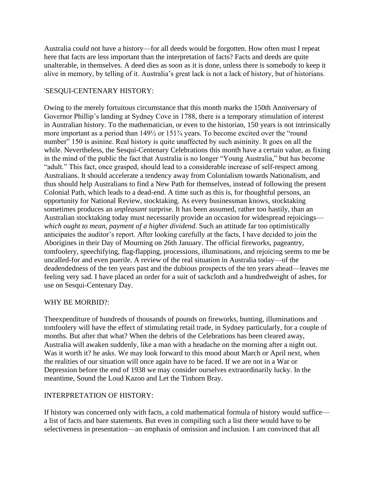Australia *could* not have a history—for all deeds would be forgotten. How often must I repeat here that facts are less important than the interpretation of facts? Facts and deeds are quite unalterable, in themselves. A deed dies as soon as it is done, unless there is somebody to keep it alive in memory, by telling of it. Australia's great lack is not a lack of history, but of historians.

## 'SESQUI-CENTENARY HISTORY:

Owing to the merely fortuitous circumstance that this month marks the 150th Anniversary of Governor Phillip's landing at Sydney Cove in 1788, there is a temporary stimulation of interest in Australian history. To the mathematician, or even to the historian, 150 years is not intrinsically more important as a period than 149½ or 151¾ years. To become excited over the "round number" 150 is asinine. Real history is quite unaffected by such asininity. It goes on all the while. Nevertheless, the Sesqui-Centenary Celebrations this month have a certain value, as fixing in the mind of the public the fact that Australia is no longer "Young Australia," but has become "adult." This fact, once grasped, should lead to a considerable increase of self-respect among Australians. It should accelerate a tendency away from Colonialism towards Nationalism, and thus should help Australians to find a New Path for themselves, instead of following the present Colonial Path, which leads to a dead-end. A time such as this is, for thoughtful persons, an opportunity for National Review, stocktaking. As every businessman knows, stocktaking sometimes produces an *unpleasant* surprise. It has been assumed, rather too hastily, than an Australian stocktaking today must necessarily provide an occasion for widespread rejoicings *which ought to mean, payment of a higher dividend*. Such an attitude far too optimistically anticipates the auditor's report. After looking carefully at the facts, I have decided to join the Aborigines in their Day of Mourning on 26th January. The official fireworks, pageantry, tomfoolery, speechifying, flag-flapping, processions, illuminations, and rejoicing seems to me be uncalled-for and even puerile. A review of the real situation in Australia today—of the deadendedness of the ten years past and the dubious prospects of the ten years ahead—leaves me feeling very sad. I have placed an order for a suit of sackcloth and a hundredweight of ashes, for use on Sesqui-Centenary Day.

## WHY BE MORBID?:

Theexpenditure of hundreds of thousands of pounds on fireworks, bunting, illuminations and tomfoolery will have the effect of stimulating retail trade, in Sydney particularly, for a couple of months. But after that what? When the debris of the Celebrations has been cleared away, Australia will awaken suddenly, like a man with a headache on the morning after a night out. Was it worth it? he asks. We may look forward to this mood about March or April next, when the realities of our situation will once again have to be faced. If we are not in a War or Depression before the end of 1938 we may consider ourselves extraordinarily lucky. In the meantime, Sound the Loud Kazoo and Let the Tinhorn Bray.

## INTERPRETATION OF HISTORY:

If history was concerned only with facts, a cold mathematical formula of history would suffice a list of facts and bare statements. But even in compiling such a list there would have to be selectiveness in presentation—an emphasis of omission and inclusion. I am convinced that all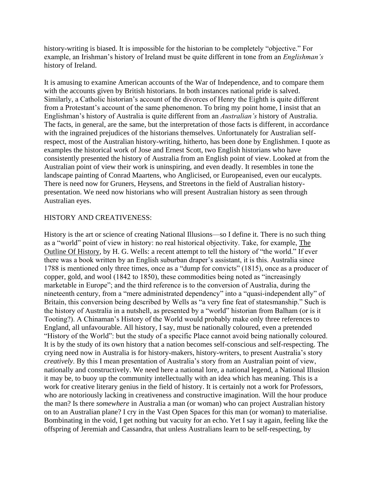history-writing is biased. It is impossible for the historian to be completely "objective." For example, an Irishman's history of Ireland must be quite different in tone from an *Englishman's* history of Ireland.

It is amusing to examine American accounts of the War of Independence, and to compare them with the accounts given by British historians. In both instances national pride is salved. Similarly, a Catholic historian's account of the divorces of Henry the Eighth is quite different from a Protestant's account of the same phenomenon. To bring my point home, I insist that an Englishman's history of Australia is quite different from an *Australian's* history of Australia. The facts, in general, are the same, but the interpretation of those facts is different, in accordance with the ingrained prejudices of the historians themselves. Unfortunately for Australian selfrespect, most of the Australian history-writing, hitherto, has been done by Englishmen. I quote as examples the historical work of Jose and Ernest Scott, two English historians who have consistently presented the history of Australia from an English point of view. Looked at from the Australian point of view their work is uninspiring, and even deadly. It resembles in tone the landscape painting of Conrad Maartens, who Anglicised, or Europeanised, even our eucalypts. There is need now for Gruners, Heysens, and Streetons in the field of Australian historypresentation. We need now historians who will present Australian history as seen through Australian eyes.

## HISTORY AND CREATIVENESS:

History is the art or science of creating National Illusions—so I define it. There is no such thing as a "world" point of view in history: no real historical objectivity. Take, for example, The Outline Of History, by H. G. Wells: a recent attempt to tell the history of "the world." If ever there was a book written by an English suburban draper's assistant, it is this. Australia since 1788 is mentioned only three times, once as a "dump for convicts" (1815), once as a producer of copper, gold, and wool (1842 to 1850), these commodities being noted as "increasingly marketable in Europe"; and the third reference is to the conversion of Australia, during the nineteenth century, from a "mere administrated dependency" into a "quasi-independent ally" of Britain, this conversion being described by Wells as "a very fine feat of statesmanship." Such is the history of Australia in a nutshell, as presented by a "world" historian from Balham (or is it Tooting?). A Chinaman's History of the World would probably make only three references to England, all unfavourable. All history, I say, must be nationally coloured, even a pretended "History of the World": but the study of a specific Place cannot avoid being nationally coloured. It is by the study of its own history that a nation becomes self-conscious and self-respecting. The crying need now in Australia is for history-makers, history-writers, to present Australia's story *creatively*. By this I mean presentation of Australia's story from an Australian point of view, nationally and constructively. We need here a national lore, a national legend, a National Illusion it may be, to buoy up the community intellectually with an idea which has meaning. This is a work for creative literary genius in the field of history. It is certainly not a work for Professors, who are notoriously lacking in creativeness and constructive imagination. Will the hour produce the man? Is there *somewhere* in Australia a man (or woman) who can project Australian history on to an Australian plane? I cry in the Vast Open Spaces for this man (or woman) to materialise. Bombinating in the void, I get nothing but vacuity for an echo. Yet I say it again, feeling like the offspring of Jeremiah and Cassandra, that unless Australians learn to be self-respecting, by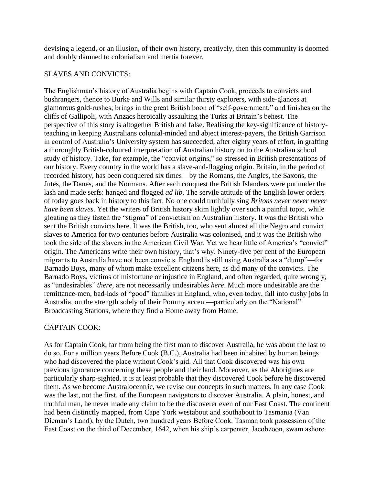devising a legend, or an illusion, of their own history, creatively, then this community is doomed and doubly damned to colonialism and inertia forever.

## SLAVES AND CONVICTS:

The Englishman's history of Australia begins with Captain Cook, proceeds to convicts and bushrangers, thence to Burke and Wills and similar thirsty explorers, with side-glances at glamorous gold-rushes; brings in the great British boon of "self-government," and finishes on the cliffs of Gallipoli, with Anzacs heroically assaulting the Turks at Britain's behest. The perspective of this story is altogether British and false. Realising the key-significance of historyteaching in keeping Australians colonial-minded and abject interest-payers, the British Garrison in control of Australia's University system has succeeded, after eighty years of effort, in grafting a thoroughly British-coloured interpretation of Australian history on to the Australian school study of history. Take, for example, the "convict origins," so stressed in British presentations of our history. Every country in the world has a slave-and-flogging origin. Britain, in the period of recorded history, has been conquered six times—by the Romans, the Angles, the Saxons, the Jutes, the Danes, and the Normans. After each conquest the British Islanders were put under the lash and made serfs: hanged and flogged *ad lib*. The servile attitude of the English lower orders of today goes back in history to this fact. No one could truthfully sing *Britons never never never have been slaves*. Yet the writers of British history skim lightly over such a painful topic, while gloating as they fasten the "stigma" of convictism on Australian history. It was the British who sent the British convicts here. It was the British, too, who sent almost all the Negro and convict slaves to America for two centuries before Australia was colonised, and it was the British who took the side of the slavers in the American Civil War. Yet we hear little of America's "convict" origin. The Americans write their own history, that's why. Ninety-five per cent of the European migrants to Australia have not been convicts. England is still using Australia as a "dump"—for Barnado Boys, many of whom make excellent citizens here, as did many of the convicts. The Barnado Boys, victims of misfortune or injustice in England, and often regarded, quite wrongly, as "undesirables" *there*, are not necessarily undesirables *here*. Much more undesirable are the remittance-men, bad-lads of "good" families in England, who, even today, fall into cushy jobs in Australia, on the strength solely of their Pommy accent—particularly on the "National" Broadcasting Stations, where they find a Home away from Home.

## CAPTAIN COOK:

As for Captain Cook, far from being the first man to discover Australia, he was about the last to do so. For a million years Before Cook (B.C.), Australia had been inhabited by human beings who had discovered the place without Cook's aid. All that Cook discovered was his own previous ignorance concerning these people and their land. Moreover, as the Aborigines are particularly sharp-sighted, it is at least probable that they discovered Cook before he discovered them. As we become Australocentric, we revise our concepts in such matters. In any case Cook was the last, not the first, of the European navigators to discover Australia. A plain, honest, and truthful man, he never made any claim to be the discoverer even of our East Coast. The continent had been distinctly mapped, from Cape York westabout and southabout to Tasmania (Van Dieman's Land), by the Dutch, two hundred years Before Cook. Tasman took possession of the East Coast on the third of December, 1642, when his ship's carpenter, Jacobzoon, swam ashore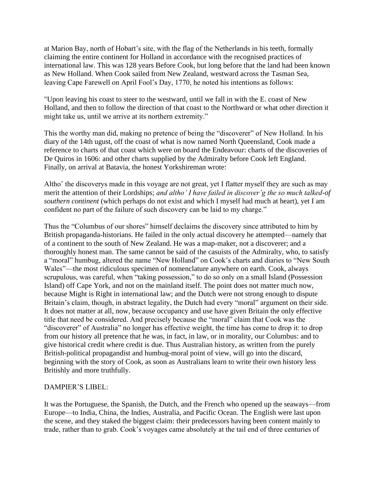at Marion Bay, north of Hobart's site, with the flag of the Netherlands in his teeth, formally claiming the entire continent for Holland in accordance with the recognised practices of international law. This was 128 years Before Cook, but long before that the land had been known as New Holland. When Cook sailed from New Zealand, westward across the Tasman Sea, leaving Cape Farewell on April Fool's Day, 1770, he noted his intentions as follows:

"Upon leaving his coast to steer to the westward, until we fall in with the E. coast of New Holland, and then to follow the direction of that coast to the Northward or what other direction it might take us, until we arrive at its northern extremity."

This the worthy man did, making no pretence of being the "discoverer" of New Holland. In his diary of the 14th ugust, off the coast of what is now named North Queensland, Cook made a reference to charts of that coast which were on board the Endeavour: charts of the discoveries of De Quiros in 1606: and other charts supplied by the Admiralty before Cook left England. Finally, on arrival at Batavia, the honest Yorkshireman wrote:

Altho' the discoverys made in this voyage are not great, yet I flatter myself they are such as may merit the attention of their Lordships; *and altho' I have failed in discover'g the so much talked-of southern continent* (which perhaps do not exist and which I myself had much at heart), yet I am confident no part of the failure of such discovery can be laid to my charge."

Thus the "Columbus of our shores" himself declaims the discovery since attributed to him by British propaganda-historians. He failed in the only actual discovery he attempted—namely that of a continent to the south of New Zealand. He was a map-maker, not a discoverer; and a thoroughly honest man. The same cannot be said of the casuists of the Admiralty, who, to satisfy a "moral" humbug, altered the name "New Holland" on Cook's charts and diaries to "New South Wales"—the most ridiculous specimen of nomenclature anywhere on earth. Cook, always scrupulous, was careful, when "taking possession," to do so only on a small Island (Possession Island) off Cape York, and not on the mainland itself. The point does not matter much now, because Might is Right in international law; and the Dutch were not strong enough to dispute Britain's claim, though, in abstract legality, the Dutch had every "moral" argument on their side. It does not matter at all, now, because occupancy and use have given Britain the only effective title that need be considered. And precisely because the "moral" claim that Cook was the "discoverer" of Australia" no longer has effective weight, the time has come to drop it: to drop from our history all pretence that he was, in fact, in law, or in morality, our Columbus: and to give historical credit where credit is due. Thus Australian history, as written from the purely British-political propagandist and humbug-moral point of view, will go into the discard, beginning with the story of Cook, as soon as Australians learn to write their own history less Britishly and more truthfully.

## DAMPIER'S LIBEL:

It was the Portuguese, the Spanish, the Dutch, and the French who opened up the seaways—from Europe—to India, China, the Indies, Australia, and Pacific Ocean. The English were last upon the scene, and they staked the biggest claim: their predecessors having been content mainly to trade, rather than to grab. Cook's voyages came absolutely at the tail end of three centuries of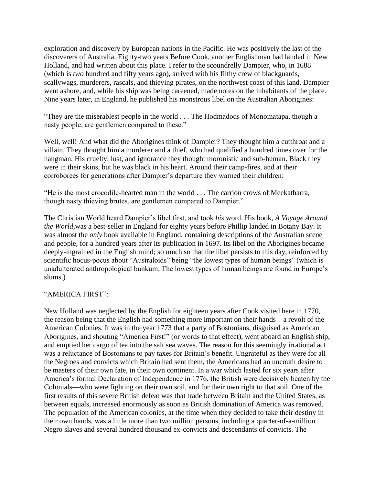exploration and discovery by European nations in the Pacific. He was positively the last of the discoverers of Australia. Eighty-two years Before Cook, another Englishman had landed in New Holland, and had written about this place. I refer to the scoundrelly Dampier, who, in 1688 (which is *two* hundred and fifty years ago), arrived with his filthy crew of blackguards, scallywags, murderers, rascals, and thieving pirates, on the northwest coast of this land. Dampier went ashore, and, while his ship was being careened, made notes on the inhabitants of the place. Nine years later, in England, he published his monstrous libel on the Australian Aborigines:

"They are the miserablest people in the world . . . The Hodmadods of Monomatapa, though a nasty people, are gentlemen compared to these."

Well, well! And what did the Aborigines think of Dampier? They thought him a cutthroat and a villain. They thought him a murderer and a thief, who had qualified a hundred times over for the hangman. His cruelty, lust, and ignorance they thought moronistic and sub-human. Black they were in their skins, but he was black in his heart. Around their camp-fires, and at their corroborees for generations after Dampier's departure they warned their children:

"He is the most crocodile-hearted man in the world . . . The carrion crows of Meekatharra, though nasty thieving brutes, are gentlemen compared to Dampier."

The Christian World heard Dampier's libel first, and took *his* word. His book, *A Voyage Around the World*,was a best-seller in England for eighty years before Phillip landed in Botany Bay. It was almost the *only* book available in England, containing descriptions of the Australian scene and people, for a hundred years after its publication in 1697. Its libel on the Aborigines became deeply-ingrained in the English mind; so much so that the libel persists to this day, reinforced by scientific hocus-pocus about "Australoids" being "the lowest types of human beings" (which is unadulterated anthropological bunkum. The lowest types of human beings are found in Europe's slums.)

## "AMERICA FIRST":

New Holland was neglected by the English for eighteen years after Cook visited here in 1770, the reason being that the English had something more important on their hands—a revolt of the American Colonies. It was in the year 1773 that a party of Bostonians, disguised as American Aborigines, and shouting "America First!" (or words to that effect), went aboard an English ship, and emptied her cargo of tea into the salt sea waves. The reason for this seemingly irrational act was a reluctance of Bostonians to pay taxes for Britain's benefit. Ungrateful as they were for all the Negroes and convicts which Britain had sent them, the Americans had an uncouth desire to be masters of their own fate, in their own continent. In a war which lasted for six years after America's formal Declaration of Independence in 1776, the British were decisively beaten by the Colonials—who were fighting on their own soil, and for their own right to that soil. One of the first results of this severe British defeat was that trade between Britain and the United States, as between equals, increased enormously as soon as British domination of America was removed. The population of the American colonies, at the time when they decided to take their destiny in their own hands, was a little more than two million persons, including a quarter-of-a-million Negro slaves and several hundred thousand ex-convicts and descendants of convicts. The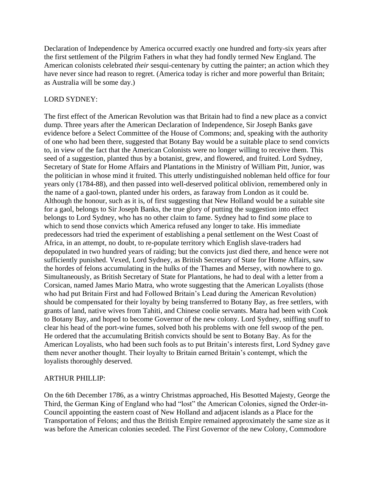Declaration of Independence by America occurred exactly one hundred and forty-six years after the first settlement of the Pilgrim Fathers in what they had fondly termed New England. The American colonists celebrated *their* sesqui-centenary by cutting the painter; an action which they have never since had reason to regret. (America today is richer and more powerful than Britain; as Australia will be some day.)

## LORD SYDNEY:

The first effect of the American Revolution was that Britain had to find a new place as a convict dump. Three years after the American Declaration of Independence, Sir Joseph Banks gave evidence before a Select Committee of the House of Commons; and, speaking with the authority of one who had been there, suggested that Botany Bay would be a suitable place to send convicts to, in view of the fact that the American Colonists were no longer willing to receive them. This seed of a suggestion, planted thus by a botanist, grew, and flowered, and fruited. Lord Sydney, Secretary of State for Home Affairs and Plantations in the Ministry of William Pitt, Junior, was the politician in whose mind it fruited. This utterly undistinguished nobleman held office for four years only (1784-88), and then passed into well-deserved political oblivion, remembered only in the name of a gaol-town, planted under his orders, as faraway from London as it could be. Although the honour, such as it is, of first suggesting that New Holland would be a suitable site for a gaol, belongs to Sir Joseph Banks, the true glory of putting the suggestion into effect belongs to Lord Sydney, who has no other claim to fame. Sydney had to find *some* place to which to send those convicts which America refused any longer to take. His immediate predecessors had tried the experiment of establishing a penal settlement on the West Coast of Africa, in an attempt, no doubt, to re-populate territory which English slave-traders had depopulated in two hundred years of raiding; but the convicts just died there, and hence were not sufficiently punished. Vexed, Lord Sydney, as British Secretary of State for Home Affairs, saw the hordes of felons accumulating in the hulks of the Thames and Mersey, with nowhere to go. Simultaneously, as British Secretary of State for Plantations, he had to deal with a letter from a Corsican, named James Mario Matra, who wrote suggesting that the American Loyalists (those who had put Britain First and had Followed Britain's Lead during the American Revolution) should be compensated for their loyalty by being transferred to Botany Bay, as free settlers, with grants of land, native wives from Tahiti, and Chinese coolie servants. Matra had been with Cook to Botany Bay, and hoped to become Governor of the new colony. Lord Sydney, sniffing snuff to clear his head of the port-wine fumes, solved both his problems with one fell swoop of the pen. He ordered that the accumulating British convicts should be sent to Botany Bay. As for the American Loyalists, who had been such fools as to put Britain's interests first, Lord Sydney gave them never another thought. Their loyalty to Britain earned Britain's contempt, which the loyalists thoroughly deserved.

## ARTHUR PHILLIP:

On the 6th December 1786, as a wintry Christmas approached, His Besotted Majesty, George the Third, the German King of England who had "lost" the American Colonies, signed the Order-in-Council appointing the eastern coast of New Holland and adjacent islands as a Place for the Transportation of Felons; and thus the British Empire remained approximately the same size as it was before the American colonies seceded. The First Governor of the new Colony, Commodore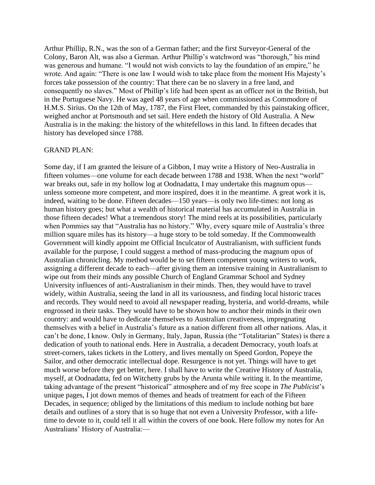Arthur Phillip, R.N., was the son of a German father; and the first Surveyor-General of the Colony, Baron Alt, was also a German. Arthur Phillip's watchword was "thorough," his mind was generous and humane. "I would not wish convicts to lay the foundation of an empire," he wrote. And again: "There is one law I would wish to take place from the moment His Majesty's forces take possession of the country: That there can be no slavery in a free land, and consequently no slaves." Most of Phillip's life had been spent as an officer not in the British, but in the Portuguese Navy. He was aged 48 years of age when commissioned as Commodore of H.M.S. Sirius. On the 12th of May, 1787, the First Fleet, commanded by this painstaking officer, weighed anchor at Portsmouth and set sail. Here endeth the history of Old Australia. A New Australia is in the making: the history of the whitefellows in this land. In fifteen decades that history has developed since 1788.

#### GRAND PLAN:

Some day, if I am granted the leisure of a Gibbon, I may write a History of Neo-Australia in fifteen volumes—one volume for each decade between 1788 and 1938. When the next "world" war breaks out, safe in my hollow log at Oodnadatta, I may undertake this magnum opus unless someone more competent, and more inspired, does it in the meantime. A great work it is, indeed, waiting to be done. Fifteen decades—150 years—is only two life-times: not long as human history goes; but what a wealth of historical material has accumulated in Australia in those fifteen decades! What a tremendous story! The mind reels at its possibilities, particularly when Pommies say that "Australia has no history." Why, every square mile of Australia's three million square miles has its history—a huge story to be told someday. If the Commonwealth Government will kindly appoint me Official Inculcator of Australianism, with sufficient funds available for the purpose, I could suggest a method of mass-producing the magnum opus of Australian chronicling. My method would be to set fifteen competent young writers to work, assigning a different decade to each—after giving them an intensive training in Australianism to wipe out from their minds any possible Church of England Grammar School and Sydney University influences of anti-Australianism in their minds. Then, they would have to travel widely, within Australia, seeing the land in all its variousness, and finding local historic traces and records. They would need to avoid all newspaper reading, hysteria, and world-dreams, while engrossed in their tasks. They would have to be shown how to anchor their minds in their own country: and would have to dedicate themselves to Australian creativeness, impregnating themselves with a belief in Australia's future as a nation different from all other nations. Alas, it can't be done, I know. Only in Germany, Italy, Japan, Russia (the "Totalitarian" States) is there a dedication of youth to national ends. Here in Australia, a decadent Democracy, youth loafs at street-corners, takes tickets in the Lottery, and lives mentally on Speed Gordon, Popeye the Sailor, and other democratic intellectual dope. Resurgence is not yet. Things will have to get much worse before they get better, here. I shall have to write the Creative History of Australia, myself, at Oodnadatta, fed on Witchetty grubs by the Arunta while writing it. In the meantime, taking advantage of the present "historical" atmosphere and of my free scope in *The Publicist*'s unique pages, I jot down memos of themes and heads of treatment for each of the Fifteen Decades, in sequence; obliged by the limitations of this medium to include nothing but bare details and outlines of a story that is so huge that not even a University Professor, with a lifetime to devote to it, could tell it all within the covers of one book. Here follow my notes for An Australians' History of Australia:—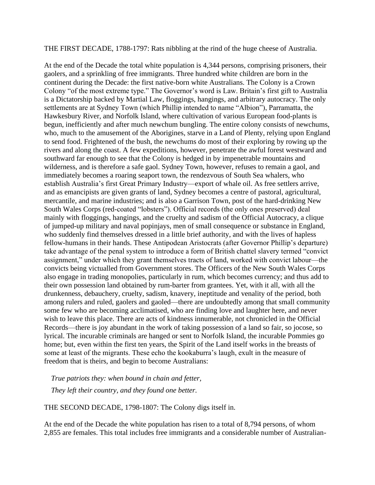#### THE FIRST DECADE, 1788-1797: Rats nibbling at the rind of the huge cheese of Australia.

At the end of the Decade the total white population is 4,344 persons, comprising prisoners, their gaolers, and a sprinkling of free immigrants. Three hundred white children are born in the continent during the Decade: the first native-born white Australians. The Colony is a Crown Colony "of the most extreme type." The Governor's word is Law. Britain's first gift to Australia is a Dictatorship backed by Martial Law, floggings, hangings, and arbitrary autocracy. The only settlements are at Sydney Town (which Phillip intended to name "Albion"), Parramatta, the Hawkesbury River, and Norfolk Island, where cultivation of various European food-plants is begun, inefficiently and after much newchum bungling. The entire colony consists of newchums, who, much to the amusement of the Aborigines, starve in a Land of Plenty, relying upon England to send food. Frightened of the bush, the newchums do most of their exploring by rowing up the rivers and along the coast. A few expeditions, however, penetrate the awful forest westward and southward far enough to see that the Colony is hedged in by impenetrable mountains and wilderness, and is therefore a safe gaol. Sydney Town, however, refuses to remain a gaol, and immediately becomes a roaring seaport town, the rendezvous of South Sea whalers, who establish Australia's first Great Primary Industry—export of whale oil. As free settlers arrive, and as emancipists are given grants of land, Sydney becomes a centre of pastoral, agricultural, mercantile, and marine industries; and is also a Garrison Town, post of the hard-drinking New South Wales Corps (red-coated "lobsters"). Official records (the only ones preserved) deal mainly with floggings, hangings, and the cruelty and sadism of the Official Autocracy, a clique of jumped-up military and naval popinjays, men of small consequence or substance in England, who suddenly find themselves dressed in a little brief authority, and with the lives of hapless fellow-humans in their hands. These Antipodean Aristocrats (after Governor Phillip's departure) take advantage of the penal system to introduce a form of British chattel slavery termed "convict assignment," under which they grant themselves tracts of land, worked with convict labour—the convicts being victualled from Government stores. The Officers of the New South Wales Corps also engage in trading monopolies, particularly in rum, which becomes currency; and thus add to their own possession land obtained by rum-barter from grantees. Yet, with it all, with all the drunkenness, debauchery, cruelty, sadism, knavery, ineptitude and venality of the period, both among rulers and ruled, gaolers and gaoled—there are undoubtedly among that small community some few who are becoming acclimatised, who are finding love and laughter here, and never wish to leave this place. There are acts of kindness innumerable, not chronicled in the Official Records—there is joy abundant in the work of taking possession of a land so fair, so jocose, so lyrical. The incurable criminals are hanged or sent to Norfolk Island, the incurable Pommies go home; but, even within the first ten years, the Spirit of the Land itself works in the breasts of some at least of the migrants. These echo the kookaburra's laugh, exult in the measure of freedom that is theirs, and begin to become Australians:

*True patriots they: when bound in chain and fetter, They left their country, and they found one better.*

THE SECOND DECADE, 1798-1807: The Colony digs itself in.

At the end of the Decade the white population has risen to a total of 8,794 persons, of whom 2,855 are females. This total includes free immigrants and a considerable number of Australian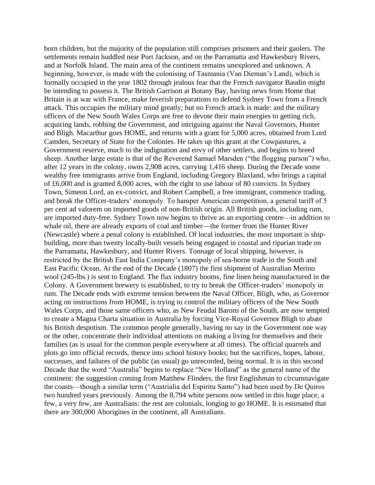born children, but the majority of the population still comprises prisoners and their gaolers. The settlements remain huddled near Port Jackson, and on the Parramatta and Hawkesbury Rivers, and at Norfolk Island. The main area of the continent remains unexplored and unknown. A beginning, however, is made with the colonising of Tasmania (Van Dieman's Land), which is formally occupied in the year 1802 through jealous fear that the French navigator Baudin might be intending to possess it. The British Garrison at Botany Bay, having news from Home that Britain is at war with France, make feverish preparations to defend Sydney Town from a French attack. This occupies the military mind greatly; but no French attack is made: and the military officers of the New South Wales Corps are free to devote their main energies to getting rich, acquiring lands, robbing the Government, and intriguing against the Naval Governors, Hunter and Bligh. Macarthur goes HOME, and returns with a grant for 5,000 acres, obtained from Lord Camden, Secretary of State for the Colonies. He takes up this grant at the Cowpastures, a Government reserve, much to the indignation and envy of other settlers, and begins to breed sheep. Another large estate is that of the Reverend Samuel Marsden ("the flogging parson") who, after 12 years in the colony, owns 2,908 acres, carrying 1,416 sheep. During the Decade some wealthy free immigrants arrive from England, including Gregory Blaxland, who brings a capital of £6,000 and is granted 8,000 acres, with the right to use labour of 80 convicts. In Sydney Town, Simeon Lord, an ex-convict, and Robert Campbell, a free immigrant, commence trading, and break the Officer-traders' monopoly. To hamper American competition, a general tariff of 5 per cent ad valorem on imported goods of non-British origin. All British goods, including rum, are imported duty-free. Sydney Town now begins to thrive as an exporting centre—in addition to whale oil, there are already exports of coal and timber—the former from the Hunter River (Newcastle) where a penal colony is established. Of local industries, the most important is shipbuilding, more than twenty locally-built vessels being engaged in coastal and riparian trade on the Parramatta, Hawkesbury, and Hunter Rivers. Tonnage of local shipping, however, is restricted by the British East India Company's monopoly of sea-borne trade in the South and East Pacific Ocean. At the end of the Decade (1807) the first shipment of Australian Merino wool (245-lbs.) is sent to England. The flax industry booms, fine linen being manufactured in the Colony. A Government brewery is established, to try to break the Officer-traders' monopoly in rum. The Decade ends with extreme tension between the Naval Officer, Bligh, who, as Governor acting on instructions from HOME, is trying to control the military officers of the New South Wales Corps, and those same officers who, as New Feudal Barons of the South, are now tempted to create a Magna Charta situation in Australia by forcing Vice-Royal Governor Bligh to abate his British despotism. The common people generally, having no say in the Government one way or the other, concentrate their individual attentions on making a living for themselves and their families (as is usual for the common people everywhere at all times). The official quarrels and plots go into official records, thence into school history books; but the sacrifices, hopes, labour, successes, and failures of the public (as usual) go unrecorded, being normal. It is in this second Decade that the word "Australia" begins to replace "New Holland" as the general name of the continent: the suggestion coming from Matthew Flinders, the first Englishman to circumnavigate the coasts—though a similar term ("Austrialia del Espiritu Santo") had been used by De Quiros two hundred years previously. Among the 8,794 white persons now settled in this huge place, a few, a very few, are Australians: the rest are colonials, longing to go HOME. It is estimated that there are 300,000 Aborigines in the continent, all Australians.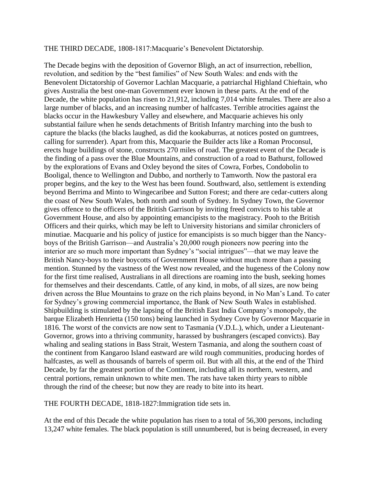#### THE THIRD DECADE, 1808-1817:Macquarie's Benevolent Dictatorship.

The Decade begins with the deposition of Governor Bligh, an act of insurrection, rebellion, revolution, and sedition by the "best families" of New South Wales: and ends with the Benevolent Dictatorship of Governor Lachlan Macquarie, a patriarchal Highland Chieftain, who gives Australia the best one-man Government ever known in these parts. At the end of the Decade, the white population has risen to 21,912, including 7,014 white females. There are also a large number of blacks, and an increasing number of halfcastes. Terrible atrocities against the blacks occur in the Hawkesbury Valley and elsewhere, and Macquarie achieves his only substantial failure when he sends detachments of British Infantry marching into the bush to capture the blacks (the blacks laughed, as did the kookaburras, at notices posted on gumtrees, calling for surrender). Apart from this, Macquarie the Builder acts like a Roman Proconsul, erects huge buildings of stone, constructs 270 miles of road. The greatest event of the Decade is the finding of a pass over the Blue Mountains, and construction of a road to Bathurst, followed by the explorations of Evans and Oxley beyond the sites of Cowra, Forbes, Condobolin to Booligal, thence to Wellington and Dubbo, and northerly to Tamworth. Now the pastoral era proper begins, and the key to the West has been found. Southward, also, settlement is extending beyond Berrima and Minto to Wingecaribee and Sutton Forest; and there are cedar-cutters along the coast of New South Wales, both north and south of Sydney. In Sydney Town, the Governor gives offence to the officers of the British Garrison by inviting freed convicts to his table at Government House, and also by appointing emancipists to the magistracy. Pooh to the British Officers and their quirks, which may be left to University historians and similar chroniclers of minutiae. Macquarie and his policy of justice for emancipists is so much bigger than the Nancyboys of the British Garrison—and Australia's 20,000 rough pioneers now peering into the interior are so much more important than Sydney's "social intrigues"—that we may leave the British Nancy-boys to their boycotts of Government House without much more than a passing mention. Stunned by the vastness of the West now revealed, and the hugeness of the Colony now for the first time realised, Australians in all directions are roaming into the bush, seeking homes for themselves and their descendants. Cattle, of any kind, in mobs, of all sizes, are now being driven across the Blue Mountains to graze on the rich plains beyond, in No Man's Land. To cater for Sydney's growing commercial importance, the Bank of New South Wales in established. Shipbuilding is stimulated by the lapsing of the British East India Company's monopoly, the barque Elizabeth Henrietta (150 tons) being launched in Sydney Cove by Governor Macquarie in 1816. The worst of the convicts are now sent to Tasmania (V.D.L.), which, under a Lieutenant-Governor, grows into a thriving community, harassed by bushrangers (escaped convicts). Bay whaling and sealing stations in Bass Strait, Western Tasmania, and along the southern coast of the continent from Kangaroo Island eastward are wild rough communities, producing hordes of halfcastes, as well as thousands of barrels of sperm oil. But with all this, at the end of the Third Decade, by far the greatest portion of the Continent, including all its northern, western, and central portions, remain unknown to white men. The rats have taken thirty years to nibble through the rind of the cheese; but now they are ready to bite into its heart.

THE FOURTH DECADE, 1818-1827:Immigration tide sets in.

At the end of this Decade the white population has risen to a total of 56,300 persons, including 13,247 white females. The black population is still unnumbered, but is being decreased, in every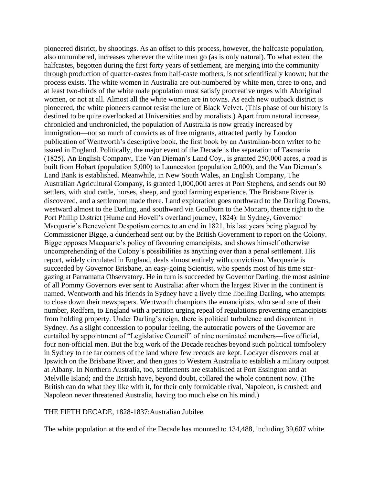pioneered district, by shootings. As an offset to this process, however, the halfcaste population, also unnumbered, increases wherever the white men go (as is only natural). To what extent the halfcastes, begotten during the first forty years of settlement, are merging into the community through production of quarter-castes from half-caste mothers, is not scientifically known; but the process exists. The white women in Australia are out-numbered by white men, three to one, and at least two-thirds of the white male population must satisfy procreative urges with Aboriginal women, or not at all. Almost all the white women are in towns. As each new outback district is pioneered, the white pioneers cannot resist the lure of Black Velvet. (This phase of our history is destined to be quite overlooked at Universities and by moralists.) Apart from natural increase, chronicled and unchronicled, the population of Australia is now greatly increased by immigration—not so much of convicts as of free migrants, attracted partly by London publication of Wentworth's descriptive book, the first book by an Australian-born writer to be issued in England. Politically, the major event of the Decade is the separation of Tasmania (1825). An English Company, The Van Dieman's Land Coy., is granted 250,000 acres, a road is built from Hobart (population 5,000) to Launceston (population 2,000), and the Van Dieman's Land Bank is established. Meanwhile, in New South Wales, an English Company, The Australian Agricultural Company, is granted 1,000,000 acres at Port Stephens, and sends out 80 settlers, with stud cattle, horses, sheep, and good farming experience. The Brisbane River is discovered, and a settlement made there. Land exploration goes northward to the Darling Downs, westward almost to the Darling, and southward via Goulburn to the Monaro, thence right to the Port Phillip District (Hume and Hovell's overland journey, 1824). In Sydney, Governor Macquarie's Benevolent Despotism comes to an end in 1821, his last years being plagued by Commissioner Bigge, a dunderhead sent out by the British Government to report on the Colony. Bigge opposes Macquarie's policy of favouring emancipists, and shows himself otherwise uncomprehending of the Colony's possibilities as anything over than a penal settlement. His report, widely circulated in England, deals almost entirely with convictism. Macquarie is succeeded by Governor Brisbane, an easy-going Scientist, who spends most of his time stargazing at Parramatta Observatory. He in turn is succeeded by Governor Darling, the most asinine of all Pommy Governors ever sent to Australia: after whom the largest River in the continent is named. Wentworth and his friends in Sydney have a lively time libelling Darling, who attempts to close down their newspapers. Wentworth champions the emancipists, who send one of their number, Redfern, to England with a petition urging repeal of regulations preventing emancipists from holding property. Under Darling's reign, there is political turbulence and discontent in Sydney. As a slight concession to popular feeling, the autocratic powers of the Governor are curtailed by appointment of "Legislative Council" of nine nominated members—five official, four non-official men. But the big work of the Decade reaches beyond such political tomfoolery in Sydney to the far corners of the land where few records are kept. Lockyer discovers coal at Ipswich on the Brisbane River, and then goes to Western Australia to establish a military outpost at Albany. In Northern Australia, too, settlements are established at Port Essington and at Melville Island; and the British have, beyond doubt, collared the whole continent now. (The British can do what they like with it, for their only formidable rival, Napoleon, is crushed: and Napoleon never threatened Australia, having too much else on his mind.)

THE FIFTH DECADE, 1828-1837:Australian Jubilee.

The white population at the end of the Decade has mounted to 134,488, including 39,607 white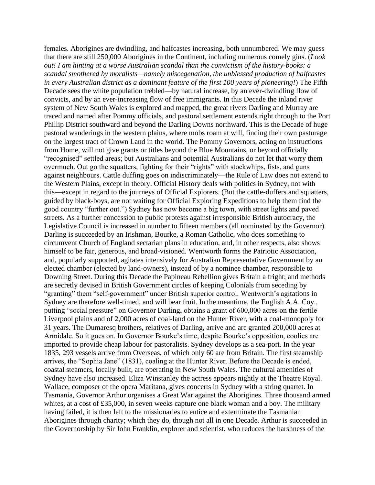females. Aborigines are dwindling, and halfcastes increasing, both unnumbered. We may guess that there are still 250,000 Aborigines in the Continent, including numerous comely gins. (*Look out! I am hinting at a worse Australian scandal than the convictism of the history-books: a scandal smothered by moralists—namely miscegenation, the unblessed production of halfcastes in every Australian district as a dominant feature of the first 100 years of pioneering!*) The Fifth Decade sees the white population trebled—by natural increase, by an ever-dwindling flow of convicts, and by an ever-increasing flow of free immigrants. In this Decade the inland river system of New South Wales is explored and mapped, the great rivers Darling and Murray are traced and named after Pommy officials, and pastoral settlement extends right through to the Port Phillip District southward and beyond the Darling Downs northward. This is the Decade of huge pastoral wanderings in the western plains, where mobs roam at will, finding their own pasturage on the largest tract of Crown Land in the world. The Pommy Governors, acting on instructions from Home, will not give grants or titles beyond the Blue Mountains, or beyond officially "recognised" settled areas; but Australians and potential Australians do not let that worry them overmuch. Out go the squatters, fighting for their "rights" with stockwhips, fists, and guns against neighbours. Cattle duffing goes on indiscriminately—the Rule of Law does not extend to the Western Plains, except in theory. Official History deals with politics in Sydney, not with this—except in regard to the journeys of Official Explorers. (But the cattle-duffers and squatters, guided by black-boys, are not waiting for Official Exploring Expeditions to help them find the good country "further out.") Sydney has now become a big town, with street lights and paved streets. As a further concession to public protests against irresponsible British autocracy, the Legislative Council is increased in number to fifteen members (all nominated by the Governor). Darling is succeeded by an Irishman, Bourke, a Roman Catholic, who does something to circumvent Church of England sectarian plans in education, and, in other respects, also shows himself to be fair, generous, and broad-visioned. Wentworth forms the Patriotic Association, and, popularly supported, agitates intensively for Australian Representative Government by an elected chamber (elected by land-owners), instead of by a nominee chamber, responsible to Downing Street. During this Decade the Papineau Rebellion gives Britain a fright; and methods are secretly devised in British Government circles of keeping Colonials from seceding by "granting" them "self-government" under British superior control. Wentworth's agitations in Sydney are therefore well-timed, and will bear fruit. In the meantime, the English A.A. Coy., putting "social pressure" on Governor Darling, obtains a grant of 600,000 acres on the fertile Liverpool plains and of 2,000 acres of coal-land on the Hunter River, with a coal-monopoly for 31 years. The Dumaresq brothers, relatives of Darling, arrive and are granted 200,000 acres at Armidale. So it goes on. In Governor Bourke's time, despite Bourke's opposition, coolies are imported to provide cheap labour for pastoralists. Sydney develops as a sea-port. In the year 1835, 293 vessels arrive from Overseas, of which only 60 are from Britain. The first steamship arrives, the "Sophia Jane" (1831), coaling at the Hunter River. Before the Decade is ended, coastal steamers, locally built, are operating in New South Wales. The cultural amenities of Sydney have also increased. Eliza Winstanley the actress appears nightly at the Theatre Royal. Wallace, composer of the opera Maritana, gives concerts in Sydney with a string quartet. In Tasmania, Governor Arthur organises a Great War against the Aborigines. Three thousand armed whites, at a cost of £35,000, in seven weeks capture one black woman and a boy. The military having failed, it is then left to the missionaries to entice and exterminate the Tasmanian Aborigines through charity; which they do, though not all in one Decade. Arthur is succeeded in the Governorship by Sir John Franklin, explorer and scientist, who reduces the harshness of the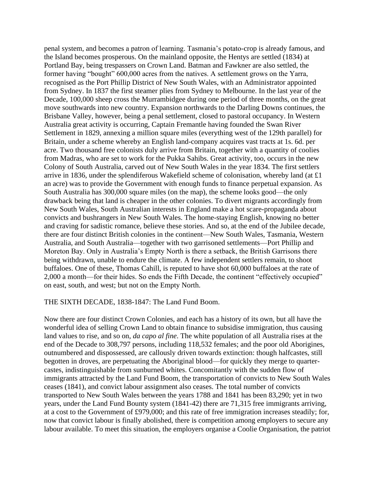penal system, and becomes a patron of learning. Tasmania's potato-crop is already famous, and the Island becomes prosperous. On the mainland opposite, the Hentys are settled (1834) at Portland Bay, being trespassers on Crown Land. Batman and Fawkner are also settled, the former having "bought" 600,000 acres from the natives. A settlement grows on the Yarra, recognised as the Port Phillip District of New South Wales, with an Administrator appointed from Sydney. In 1837 the first steamer plies from Sydney to Melbourne. In the last year of the Decade, 100,000 sheep cross the Murrambidgee during one period of three months, on the great move southwards into new country. Expansion northwards to the Darling Downs continues, the Brisbane Valley, however, being a penal settlement, closed to pastoral occupancy. In Western Australia great activity is occurring, Captain Fremantle having founded the Swan River Settlement in 1829, annexing a million square miles (everything west of the 129th parallel) for Britain, under a scheme whereby an English land-company acquires vast tracts at 1s. 6d. per acre. Two thousand free colonists duly arrive from Britain, together with a quantity of coolies from Madras, who are set to work for the Pukka Sahibs. Great activity, too, occurs in the new Colony of South Australia, carved out of New South Wales in the year 1834. The first settlers arrive in 1836, under the splendiferous Wakefield scheme of colonisation, whereby land (at £1 an acre) was to provide the Government with enough funds to finance perpetual expansion. As South Australia has 300,000 square miles (on the map), the scheme looks good—the only drawback being that land is cheaper in the other colonies. To divert migrants accordingly from New South Wales, South Australian interests in England make a hot scare-propaganda about convicts and bushrangers in New South Wales. The home-staying English, knowing no better and craving for sadistic romance, believe these stories. And so, at the end of the Jubilee decade, there are four distinct British colonies in the continent—New South Wales, Tasmania, Western Australia, and South Australia—together with two garrisoned settlements—Port Phillip and Moreton Bay. Only in Australia's Empty North is there a setback, the British Garrisons there being withdrawn, unable to endure the climate. A few independent settlers remain, to shoot buffaloes. One of these, Thomas Cahill, is reputed to have shot 60,000 buffaloes at the rate of 2,000 a month—for their hides. So ends the Fifth Decade, the continent "effectively occupied" on east, south, and west; but not on the Empty North.

#### THE SIXTH DECADE, 1838-1847: The Land Fund Boom.

Now there are four distinct Crown Colonies, and each has a history of its own, but all have the wonderful idea of selling Crown Land to obtain finance to subsidise immigration, thus causing land values to rise, and so on, *da capo al fine*. The white population of all Australia rises at the end of the Decade to 308,797 persons, including 118,532 females; and the poor old Aborigines, outnumbered and dispossessed, are callously driven towards extinction: though halfcastes, still begotten in droves, are perpetuating the Aboriginal blood—for quickly they merge to quartercastes, indistinguishable from sunburned whites. Concomitantly with the sudden flow of immigrants attracted by the Land Fund Boom, the transportation of convicts to New South Wales ceases (1841), and convict labour assignment also ceases. The total number of convicts transported to New South Wales between the years 1788 and 1841 has been 83,290; yet in two years, under the Land Fund Bounty system (1841-42) there are 71,315 free immigrants arriving, at a cost to the Government of £979,000; and this rate of free immigration increases steadily; for, now that convict labour is finally abolished, there is competition among employers to secure any labour available. To meet this situation, the employers organise a Coolie Organisation, the patriot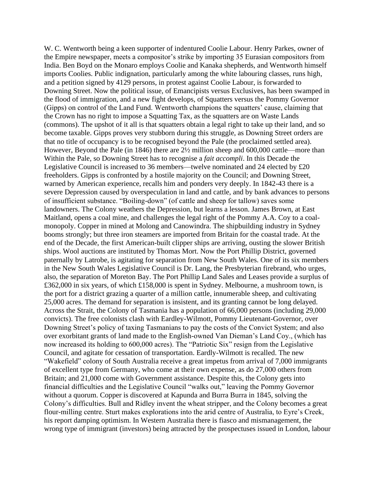W. C. Wentworth being a keen supporter of indentured Coolie Labour. Henry Parkes, owner of the Empire newspaper, meets a compositor's strike by importing 35 Eurasian compositors from India. Ben Boyd on the Monaro employs Coolie and Kanaka shepherds, and Wentworth himself imports Coolies. Public indignation, particularly among the white labouring classes, runs high, and a petition signed by 4129 persons, in protest against Coolie Labour, is forwarded to Downing Street. Now the political issue, of Emancipists versus Exclusives, has been swamped in the flood of immigration, and a new fight develops, of Squatters versus the Pommy Governor (Gipps) on control of the Land Fund. Wentworth champions the squatters' cause, claiming that the Crown has no right to impose a Squatting Tax, as the squatters are on Waste Lands (commons). The upshot of it all is that squatters obtain a legal right to take up their land, and so become taxable. Gipps proves very stubborn during this struggle, as Downing Street orders are that no title of occupancy is to be recognised beyond the Pale (the proclaimed settled area). However, Beyond the Pale (in 1846) there are 2½ million sheep and 600,000 cattle—more than Within the Pale, so Downing Street has to recognise a *fait accompli*. In this Decade the Legislative Council is increased to 36 members—twelve nominated and 24 elected by £20 freeholders. Gipps is confronted by a hostile majority on the Council; and Downing Street, warned by American experience, recalls him and ponders very deeply. In 1842-43 there is a severe Depression caused by overspeculation in land and cattle, and by bank advances to persons of insufficient substance. "Boiling-down" (of cattle and sheep for tallow) saves some landowners. The Colony weathers the Depression, but learns a lesson. James Brown, at East Maitland, opens a coal mine, and challenges the legal right of the Pommy A.A. Coy to a coalmonopoly. Copper in mined at Molong and Canowindra. The shipbuilding industry in Sydney booms strongly; but three iron steamers are imported from Britain for the coastal trade. At the end of the Decade, the first American-built clipper ships are arriving, ousting the slower British ships. Wool auctions are instituted by Thomas Mort. Now the Port Phillip District, governed paternally by Latrobe, is agitating for separation from New South Wales. One of its six members in the New South Wales Legislative Council is Dr. Lang, the Presbyterian firebrand, who urges, also, the separation of Moreton Bay. The Port Phillip Land Sales and Leases provide a surplus of £362,000 in six years, of which £158,000 is spent in Sydney. Melbourne, a mushroom town, is the port for a district grazing a quarter of a million cattle, innumerable sheep, and cultivating 25,000 acres. The demand for separation is insistent, and its granting cannot be long delayed. Across the Strait, the Colony of Tasmania has a population of 66,000 persons (including 29,000 convicts). The free colonists clash with Eardley-Wilmott, Pommy Lieutenant-Governor, over Downing Street's policy of taxing Tasmanians to pay the costs of the Convict System; and also over exorbitant grants of land made to the English-owned Van Dieman's Land Coy., (which has now increased its holding to 600,000 acres). The "Patriotic Six" resign from the Legislative Council, and agitate for cessation of transportation. Eardly-Wilmott is recalled. The new "Wakefield" colony of South Australia receive a great impetus from arrival of 7,000 immigrants of excellent type from Germany, who come at their own expense, as do 27,000 others from Britain; and 21,000 come with Government assistance. Despite this, the Colony gets into financial difficulties and the Legislative Council "walks out," leaving the Pommy Governor without a quorum. Copper is discovered at Kapunda and Burra Burra in 1845, solving the Colony's difficulties. Bull and Ridley invent the wheat stripper, and the Colony becomes a great flour-milling centre. Sturt makes explorations into the arid centre of Australia, to Eyre's Creek, his report damping optimism. In Western Australia there is fiasco and mismanagement, the wrong type of immigrant (investors) being attracted by the prospectuses issued in London, labour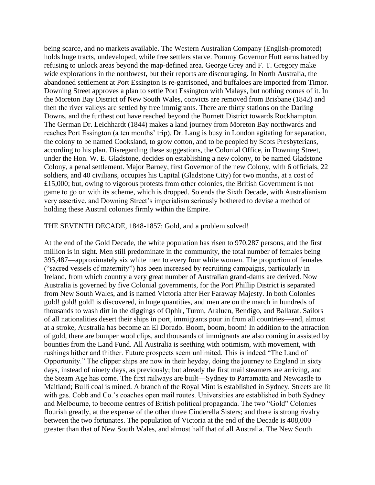being scarce, and no markets available. The Western Australian Company (English-promoted) holds huge tracts, undeveloped, while free settlers starve. Pommy Governor Hutt earns hatred by refusing to unlock areas beyond the map-defined area. George Grey and F. T. Gregory make wide explorations in the northwest, but their reports are discouraging. In North Australia, the abandoned settlement at Port Essington is re-garrisoned, and buffaloes are imported from Timor. Downing Street approves a plan to settle Port Essington with Malays, but nothing comes of it. In the Moreton Bay District of New South Wales, convicts are removed from Brisbane (1842) and then the river valleys are settled by free immigrants. There are thirty stations on the Darling Downs, and the furthest out have reached beyond the Burnett District towards Rockhampton. The German Dr. Leichhardt (1844) makes a land journey from Moreton Bay northwards and reaches Port Essington (a ten months' trip). Dr. Lang is busy in London agitating for separation, the colony to be named Cooksland, to grow cotton, and to be peopled by Scots Presbyterians, according to his plan. Disregarding these suggestions, the Colonial Office, in Downing Street, under the Hon. W. E. Gladstone, decides on establishing a new colony, to be named Gladstone Colony, a penal settlement. Major Barney, first Governor of the new Colony, with 6 officials, 22 soldiers, and 40 civilians, occupies his Capital (Gladstone City) for two months, at a cost of £15,000; but, owing to vigorous protests from other colonies, the British Government is not game to go on with its scheme, which is dropped. So ends the Sixth Decade, with Australianism very assertive, and Downing Street's imperialism seriously bothered to devise a method of holding these Austral colonies firmly within the Empire.

### THE SEVENTH DECADE, 1848-1857: Gold, and a problem solved!

At the end of the Gold Decade, the white population has risen to 970,287 persons, and the first million is in sight. Men still predominate in the community, the total number of females being 395,487—approximately six white men to every four white women. The proportion of females ("sacred vessels of maternity") has been increased by recruiting campaigns, particularly in Ireland, from which country a very great number of Australian grand-dams are derived. Now Australia is governed by five Colonial governments, for the Port Phillip District is separated from New South Wales, and is named Victoria after Her Faraway Majesty. In both Colonies gold! gold! gold! is discovered, in huge quantities, and men are on the march in hundreds of thousands to wash dirt in the diggings of Ophir, Turon, Araluen, Bendigo, and Ballarat. Sailors of all nationalities desert their ships in port, immigrants pour in from all countries—and, almost at a stroke, Australia has become an El Dorado. Boom, boom, boom! In addition to the attraction of gold, there are bumper wool clips, and thousands of immigrants are also coming in assisted by bounties from the Land Fund. All Australia is seething with optimism, with movement, with rushings hither and thither. Future prospects seem unlimited. This is indeed "The Land of Opportunity." The clipper ships are now in their heyday, doing the journey to England in sixty days, instead of ninety days, as previously; but already the first mail steamers are arriving, and the Steam Age has come. The first railways are built—Sydney to Parramatta and Newcastle to Maitland; Bulli coal is mined. A branch of the Royal Mint is established in Sydney. Streets are lit with gas. Cobb and Co.'s coaches open mail routes. Universities are established in both Sydney and Melbourne, to become centres of British political propaganda. The two "Gold" Colonies flourish greatly, at the expense of the other three Cinderella Sisters; and there is strong rivalry between the two fortunates. The population of Victoria at the end of the Decade is 408,000 greater than that of New South Wales, and almost half that of all Australia. The New South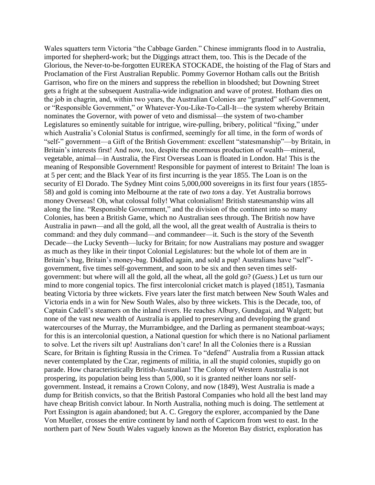Wales squatters term Victoria "the Cabbage Garden." Chinese immigrants flood in to Australia, imported for shepherd-work; but the Diggings attract them, too. This is the Decade of the Glorious, the Never-to-be-forgotten EUREKA STOCKADE, the hoisting of the Flag of Stars and Proclamation of the First Australian Republic. Pommy Governor Hotham calls out the British Garrison, who fire on the miners and suppress the rebellion in bloodshed; but Downing Street gets a fright at the subsequent Australia-wide indignation and wave of protest. Hotham dies on the job in chagrin, and, within two years, the Australian Colonies are "granted" self-Government, or "Responsible Government," or Whatever-You-Like-To-Call-It—the system whereby Britain nominates the Governor, with power of veto and dismissal—the system of two-chamber Legislatures so eminently suitable for intrigue, wire-pulling, bribery, political "fixing," under which Australia's Colonial Status is confirmed, seemingly for all time, in the form of words of "self-" government—a Gift of the British Government: excellent "statesmanship"—by Britain, in Britain's interests first! And now, too, despite the enormous production of wealth—mineral, vegetable, animal—in Australia, the First Overseas Loan is floated in London. Ha! This is the meaning of Responsible Government! Responsible for payment of interest to Britain! The loan is at 5 per cent; and the Black Year of its first incurring is the year 1855. The Loan is on the security of El Dorado. The Sydney Mint coins 5,000,000 sovereigns in its first four years (1855-58) and gold is coming into Melbourne at the rate of *two tons* a day. Yet Australia borrows money Overseas! Oh, what colossal folly! What colonialism! British statesmanship wins all along the line. "Responsible Government," and the division of the continent into so many Colonies, has been a British Game, which no Australian sees through. The British now have Australia in pawn—and all the gold, all the wool, all the great wealth of Australia is theirs to command: and they duly command—and commandeer—it. Such is the story of the Seventh Decade—the Lucky Seventh—lucky for Britain; for now Australians may posture and swagger as much as they like in their tinpot Colonial Legislatures: but the whole lot of them are in Britain's bag, Britain's money-bag. Diddled again, and sold a pup! Australians have "self" government, five times self-government, and soon to be six and then seven times selfgovernment: but where will all the gold, all the wheat, all the gold go? (*Guess.*) Let us turn our mind to more congenial topics. The first intercolonial cricket match is played (1851), Tasmania beating Victoria by three wickets. Five years later the first match between New South Wales and Victoria ends in a win for New South Wales, also by three wickets. This is the Decade, too, of Captain Cadell's steamers on the inland rivers. He reaches Albury, Gundagai, and Walgett; but none of the vast new wealth of Australia is applied to preserving and developing the grand watercourses of the Murray, the Murrambidgee, and the Darling as permanent steamboat-ways; for this is an intercolonial question, a National question for which there is no National parliament to solve. Let the rivers silt up! Australians don't care! In all the Colonies there is a Russian Scare, for Britain is fighting Russia in the Crimea. To "defend" Australia from a Russian attack never contemplated by the Czar, regiments of militia, in all the stupid colonies, stupidly go on parade. How characteristically British-Australian! The Colony of Western Australia is not prospering, its population being less than 5,000, so it is granted neither loans nor selfgovernment. Instead, it remains a Crown Colony, and now (1849), West Australia is made a dump for British convicts, so that the British Pastoral Companies who hold all the best land may have cheap British convict labour. In North Australia, nothing much is doing. The settlement at Port Essington is again abandoned; but A. C. Gregory the explorer, accompanied by the Dane Von Mueller, crosses the entire continent by land north of Capricorn from west to east. In the northern part of New South Wales vaguely known as the Moreton Bay district, exploration has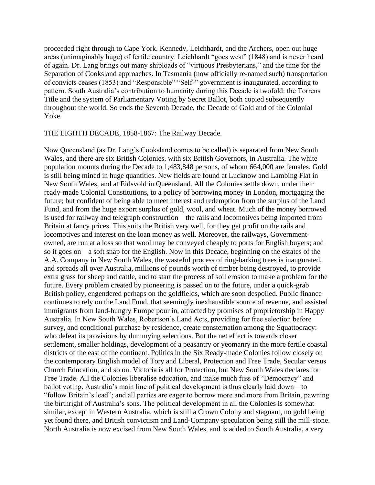proceeded right through to Cape York. Kennedy, Leichhardt, and the Archers, open out huge areas (unimaginably huge) of fertile country. Leichhardt "goes west" (1848) and is never heard of again. Dr. Lang brings out many shiploads of "virtuous Presbyterians," and the time for the Separation of Cooksland approaches. In Tasmania (now officially re-named such) transportation of convicts ceases (1853) and "Responsible" "Self-" government is inaugurated, according to pattern. South Australia's contribution to humanity during this Decade is twofold: the Torrens Title and the system of Parliamentary Voting by Secret Ballot, both copied subsequently throughout the world. So ends the Seventh Decade, the Decade of Gold and of the Colonial Yoke.

THE EIGHTH DECADE, 1858-1867: The Railway Decade.

Now Queensland (as Dr. Lang's Cooksland comes to be called) is separated from New South Wales, and there are six British Colonies, with six British Governors, in Australia. The white population mounts during the Decade to 1,483,848 persons, of whom 664,000 are females. Gold is still being mined in huge quantities. New fields are found at Lucknow and Lambing Flat in New South Wales, and at Eidsvold in Queensland. All the Colonies settle down, under their ready-made Colonial Constitutions, to a policy of borrowing money in London, mortgaging the future; but confident of being able to meet interest and redemption from the surplus of the Land Fund, and from the huge export surplus of gold, wool, and wheat. Much of the money borrowed is used for railway and telegraph construction—the rails and locomotives being imported from Britain at fancy prices. This suits the British very well, for they get profit on the rails and locomotives and interest on the loan money as well. Moreover, the railways, Governmentowned, are run at a loss so that wool may be conveyed cheaply to ports for English buyers; and so it goes on—a soft snap for the English. Now in this Decade, beginning on the estates of the A.A. Company in New South Wales, the wasteful process of ring-barking trees is inaugurated, and spreads all over Australia, millions of pounds worth of timber being destroyed, to provide extra grass for sheep and cattle, and to start the process of soil erosion to make a problem for the future. Every problem created by pioneering is passed on to the future, under a quick-grab British policy, engendered perhaps on the goldfields, which are soon despoiled. Public finance continues to rely on the Land Fund, that seemingly inexhaustible source of revenue, and assisted immigrants from land-hungry Europe pour in, attracted by promises of proprietorship in Happy Australia. In New South Wales, Robertson's Land Acts, providing for free selection before survey, and conditional purchase by residence, create consternation among the Squattocracy: who defeat its provisions by dummying selections. But the net effect is towards closer settlement, smaller holdings, development of a peasantry or yeomanry in the more fertile coastal districts of the east of the continent. Politics in the Six Ready-made Colonies follow closely on the contemporary English model of Tory and Liberal, Protection and Free Trade, Secular versus Church Education, and so on. Victoria is all for Protection, but New South Wales declares for Free Trade. All the Colonies liberalise education, and make much fuss of "Democracy" and ballot voting. Australia's main line of political development is thus clearly laid down—to "follow Britain's lead"; and all parties are eager to borrow more and more from Britain, pawning the birthright of Australia's sons. The political development in all the Colonies is somewhat similar, except in Western Australia, which is still a Crown Colony and stagnant, no gold being yet found there, and British convictism and Land-Company speculation being still the mill-stone. North Australia is now excised from New South Wales, and is added to South Australia, a very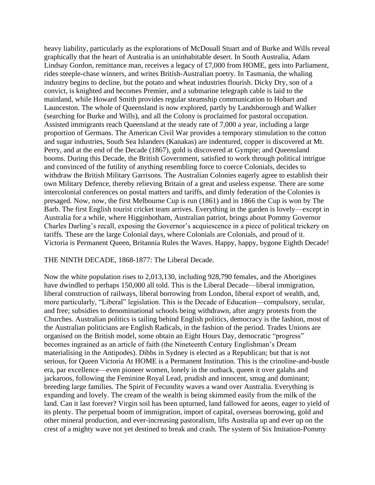heavy liability, particularly as the explorations of McDouall Stuart and of Burke and Wills reveal graphically that the heart of Australia is an uninhabitable desert. In South Australia, Adam Lindsay Gordon, remittance man, receives a legacy of £7,000 from HOME, gets into Parliament, rides steeple-chase winners, and writes British-Australian poetry. In Tasmania, the whaling industry begins to decline, but the potato and wheat industries flourish. Dicky Dry, son of a convict, is knighted and becomes Premier, and a submarine telegraph cable is laid to the mainland, while Howard Smith provides regular steamship communication to Hobart and Launceston. The whole of Queensland is now explored, partly by Landsborough and Walker (searching for Burke and Wills), and all the Colony is proclaimed for pastoral occupation. Assisted immigrants reach Queensland at the steady rate of 7,000 a year, including a large proportion of Germans. The American Civil War provides a temporary stimulation to the cotton and sugar industries, South Sea Islanders (Kanakas) are indentured, copper is discovered at Mt. Perry, and at the end of the Decade (1867), gold is discovered at Gympie; and Queensland booms. During this Decade, the British Government, satisfied to work through political intrigue and convinced of the futility of anything resembling force to coerce Colonials, decides to withdraw the British Military Garrisons. The Australian Colonies eagerly agree to establish their own Military Defence, thereby relieving Britain of a great and useless expense. There are some intercolonial conferences on postal matters and tariffs, and dimly federation of the Colonies is presaged. Now, now, the first Melbourne Cup is run (1861) and in 1866 the Cup is won by The Barb. The first English tourist cricket team arrives. Everything in the garden is lovely—except in Australia for a while, where Higginbotham, Australian patriot, brings about Pommy Governor Charles Darling's recall, exposing the Governor's acquiescence in a piece of political trickery on tariffs. These are the large Colonial days, where Colonials are Colonials, and proud of it. Victoria is Permanent Queen, Britannia Rules the Waves. Happy, happy, bygone Eighth Decade!

### THE NINTH DECADE, 1868-1877: The Liberal Decade.

Now the white population rises to 2,013,130, including 928,790 females, and the Aborigines have dwindled to perhaps 150,000 all told. This is the Liberal Decade—liberal immigration, liberal construction of railways, liberal borrowing from London, liberal export of wealth, and, more particularly, "Liberal" legislation. This is the Decade of Education—compulsory, secular, and free; subsidies to denominational schools being withdrawn, after angry protests from the Churches. Australian politics is tailing behind English politics, democracy is the fashion, most of the Australian politicians are English Radicals, in the fashion of the period. Trades Unions are organised on the British model, some obtain an Eight Hours Day, democratic "progress" becomes ingrained as an article of faith (the Nineteenth Century Englishman's Dream materialising in the Antipodes). Dibbs in Sydney is elected as a Republican; but that is not serious, for Queen Victoria At HOME is a Permanent Institution. This is the crinoline-and-bustle era, par excellence—even pioneer women, lonely in the outback, queen it over galahs and jackaroos, following the Feminine Royal Lead, prudish and innocent, smug and dominant; breeding large families. The Spirit of Fecundity waves a wand over Australia. Everything is expanding and lovely. The cream of the wealth is being skimmed easily from the milk of the land. Can it last forever? Virgin soil has been upturned, land fallowed for aeons, eager to yield of its plenty. The perpetual boom of immigration, import of capital, overseas borrowing, gold and other mineral production, and ever-increasing pastoralism, lifts Australia up and ever up on the crest of a mighty wave not yet destined to break and crash. The system of Six Imitation-Pommy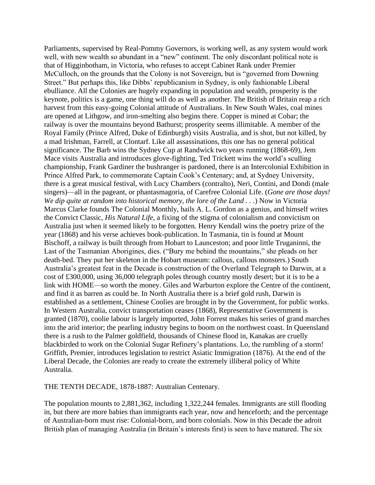Parliaments, supervised by Real-Pommy Governors, is working well, as any system would work well, with new wealth so abundant in a "new" continent. The only discordant political note is that of Higginbotham, in Victoria, who refuses to accept Cabinet Rank under Premier McCulloch, on the grounds that the Colony is not Sovereign, but is "governed from Downing Street." But perhaps this, like Dibbs' republicanism in Sydney, is only fashionable Liberal ebulliance. All the Colonies are hugely expanding in population and wealth, prosperity is the keynote, politics is a game, one thing will do as well as another. The British of Britain reap a rich harvest from this easy-going Colonial attitude of Australians. In New South Wales, coal mines are opened at Lithgow, and iron-smelting also begins there. Copper is mined at Cobar; the railway is over the mountains beyond Bathurst; prosperity seems illimitable. A member of the Royal Family (Prince Alfred, Duke of Edinburgh) visits Australia, and is shot, but not killed, by a mad Irishman, Farrell, at Clontarf. Like all assassinations, this one has no general political significance. The Barb wins the Sydney Cup at Randwick two years running (1868-69), Jem Mace visits Australia and introduces glove-fighting, Ted Trickett wins the world's sculling championship, Frank Gardiner the bushranger is pardoned, there is an Intercolonial Exhibition in Prince Alfred Park, to commemorate Captain Cook's Centenary; and, at Sydney University, there is a great musical festival, with Lucy Chambers (contralto), Neri, Contini, and Dondi (male singers)—all in the pageant, or phantasmagoria, of Carefree Colonial Life. (*Gone are those days! We dip quite at random into historical memory, the lore of the Land . . .*) Now in Victoria Marcus Clarke founds The Colonial Monthly, hails A. L. Gordon as a genius, and himself writes the Convict Classic, *His Natural Life*, a fixing of the stigma of colonialism and convictism on Australia just when it seemed likely to be forgotten. Henry Kendall wins the poetry prize of the year (1868) and his verse achieves book-publication. In Tasmania, tin is found at Mount Bischoff, a railway is built through from Hobart to Launceston; and poor little Truganinni, the Last of the Tasmanian Aborigines, dies. ("Bury me behind the mountains," she pleads on her death-bed. They put her skeleton in the Hobart museum: callous, callous monsters.) South Australia's greatest feat in the Decade is construction of the Overland Telegraph to Darwin, at a cost of £300,000, using 36,000 telegraph poles through country mostly desert; but it is to be a link with HOME—so worth the money. Giles and Warburton explore the Centre of the continent, and find it as barren as could be. In North Australia there is a brief gold rush, Darwin is established as a settlement, Chinese Coolies are brought in by the Government, for public works. In Western Australia, convict transportation ceases (1868), Representative Government is granted (1870), coolie labour is largely imported, John Forrest makes his series of grand marches into the arid interior; the pearling industry begins to boom on the northwest coast. In Queensland there is a rush to the Palmer goldfield, thousands of Chinese flood in, Kanakas are cruelly blackbirded to work on the Colonial Sugar Refinery's plantations. Lo, the rumbling of a storm! Griffith, Premier, introduces legislation to restrict Asiatic Immigration (1876). At the end of the Liberal Decade, the Colonies are ready to create the extremely illiberal policy of White Australia.

THE TENTH DECADE, 1878-1887: Australian Centenary.

The population mounts to 2,881,362, including 1,322,244 females. Immigrants are still flooding in, but there are more babies than immigrants each year, now and henceforth; and the percentage of Australian-born must rise: Colonial-born, and born colonials. Now in this Decade the adroit British plan of managing Australia (in Britain's interests first) is seen to have matured. The six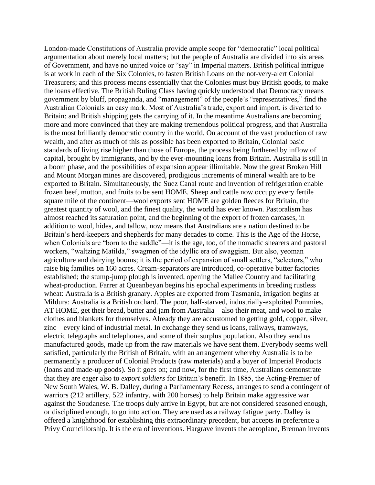London-made Constitutions of Australia provide ample scope for "democratic" local political argumentation about merely local matters; but the people of Australia are divided into six areas of Government, and have no united voice or "say" in Imperial matters. British political intrigue is at work in each of the Six Colonies, to fasten British Loans on the not-very-alert Colonial Treasurers; and this process means essentially that the Colonies must buy British goods, to make the loans effective. The British Ruling Class having quickly understood that Democracy means government by bluff, propaganda, and "management" of the people's "representatives," find the Australian Colonials an easy mark. Most of Australia's trade, export and import, is diverted to Britain: and British shipping gets the carrying of it. In the meantime Australians are becoming more and more convinced that they are making tremendous political progress, and that Australia is the most brilliantly democratic country in the world. On account of the vast production of raw wealth, and after as much of this as possible has been exported to Britain, Colonial basic standards of living rise higher than those of Europe, the process being furthered by inflow of capital, brought by immigrants, and by the ever-mounting loans from Britain. Australia is still in a boom phase, and the possibilities of expansion appear illimitable. Now the great Broken Hill and Mount Morgan mines are discovered, prodigious increments of mineral wealth are to be exported to Britain. Simultaneously, the Suez Canal route and invention of refrigeration enable frozen beef, mutton, and fruits to be sent HOME. Sheep and cattle now occupy every fertile square mile of the continent—wool exports sent HOME are golden fleeces for Britain, the greatest quantity of wool, and the finest quality, the world has ever known. Pastoralism has almost reached its saturation point, and the beginning of the export of frozen carcases, in addition to wool, hides, and tallow, now means that Australians are a nation destined to be Britain's herd-keepers and shepherds for many decades to come. This is the Age of the Horse, when Colonials are "born to the saddle"—it is the age, too, of the nomadic shearers and pastoral workers, "waltzing Matilda," swagmen of the idyllic era of swaggism. But also, yeoman agriculture and dairying booms; it is the period of expansion of small settlers, "selectors," who raise big families on 160 acres. Cream-separators are introduced, co-operative butter factories established; the stump-jump plough is invented, opening the Mallee Country and facilitating wheat-production. Farrer at Queanbeyan begins his epochal experiments in breeding rustless wheat: Australia is a British granary. Apples are exported from Tasmania, irrigation begins at Mildura: Australia is a British orchard. The poor, half-starved, industrially-exploited Pommies, AT HOME, get their bread, butter and jam from Australia—also their meat, and wool to make clothes and blankets for themselves. Already they are accustomed to getting gold, copper, silver, zinc—every kind of industrial metal. In exchange they send us loans, railways, tramways, electric telegraphs and telephones, and some of their surplus population. Also they send us manufactured goods, made up from the raw materials we have sent them. Everybody seems well satisfied, particularly the British of Britain, with an arrangement whereby Australia is to be permanently a producer of Colonial Products (raw materials) and a buyer of Imperial Products (loans and made-up goods). So it goes on; and now, for the first time, Australians demonstrate that they are eager also to *export soldiers* for Britain's benefit. In 1885, the Acting-Premier of New South Wales, W. B. Dalley, during a Parliamentary Recess, arranges to send a contingent of warriors (212 artillery, 522 infantry, with 200 horses) to help Britain make aggressive war against the Soudanese. The troops duly arrive in Egypt, but are not considered seasoned enough, or disciplined enough, to go into action. They are used as a railway fatigue party. Dalley is offered a knighthood for establishing this extraordinary precedent, but accepts in preference a Privy Councillorship. It is the era of inventions. Hargrave invents the aeroplane, Brennan invents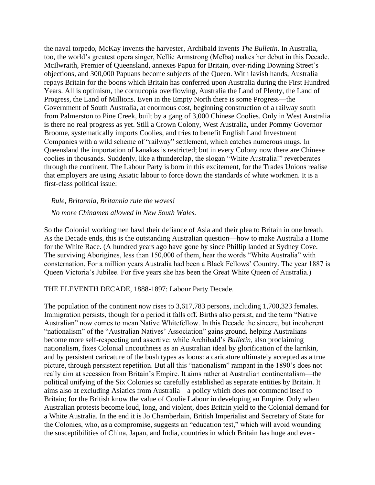the naval torpedo, McKay invents the harvester, Archibald invents *The Bulletin*. In Australia, too, the world's greatest opera singer, Nellie Armstrong (Melba) makes her debut in this Decade. McIlwraith, Premier of Queensland, annexes Papua for Britain, over-riding Downing Street's objections, and 300,000 Papuans become subjects of the Queen. With lavish hands, Australia repays Britain for the boons which Britain has conferred upon Australia during the First Hundred Years. All is optimism, the cornucopia overflowing, Australia the Land of Plenty, the Land of Progress, the Land of Millions. Even in the Empty North there is some Progress—the Government of South Australia, at enormous cost, beginning construction of a railway south from Palmerston to Pine Creek, built by a gang of 3,000 Chinese Coolies. Only in West Australia is there no real progress as yet. Still a Crown Colony, West Australia, under Pommy Governor Broome, systematically imports Coolies, and tries to benefit English Land Investment Companies with a wild scheme of "railway" settlement, which catches numerous mugs. In Queensland the importation of kanakas is restricted; but in every Colony now there are Chinese coolies in thousands. Suddenly, like a thunderclap, the slogan "White Australia!" reverberates through the continent. The Labour Party is born in this excitement, for the Trades Unions realise that employers are using Asiatic labour to force down the standards of white workmen. It is a first-class political issue:

*Rule, Britannia, Britannia rule the waves!*

*No more Chinamen allowed in New South Wales.*

So the Colonial workingmen bawl their defiance of Asia and their plea to Britain in one breath. As the Decade ends, this is the outstanding Australian question—how to make Australia a Home for the White Race. (A hundred years ago have gone by since Phillip landed at Sydney Cove. The surviving Aborigines, less than 150,000 of them, hear the words "White Australia" with consternation. For a million years Australia had been a Black Fellows' Country. The year 1887 is Queen Victoria's Jubilee. For five years she has been the Great White Queen of Australia.)

THE ELEVENTH DECADE, 1888-1897: Labour Party Decade.

The population of the continent now rises to 3,617,783 persons, including 1,700,323 females. Immigration persists, though for a period it falls off. Births also persist, and the term "Native Australian" now comes to mean Native Whitefellow. In this Decade the sincere, but incoherent "nationalism" of the "Australian Natives' Association" gains ground, helping Australians become more self-respecting and assertive: while Archibald's *Bulletin*, also proclaiming nationalism, fixes Colonial uncouthness as an Australian ideal by glorification of the larrikin, and by persistent caricature of the bush types as loons: a caricature ultimately accepted as a true picture, through persistent repetition. But all this "nationalism" rampant in the 1890's does not really aim at secession from Britain's Empire. It aims rather at Australian continentalism—the political unifying of the Six Colonies so carefully established as separate entities by Britain. It aims also at excluding Asiatics from Australia—a policy which does not commend itself to Britain; for the British know the value of Coolie Labour in developing an Empire. Only when Australian protests become loud, long, and violent, does Britain yield to the Colonial demand for a White Australia. In the end it is Jo Chamberlain, British Imperialist and Secretary of State for the Colonies, who, as a compromise, suggests an "education test," which will avoid wounding the susceptibilities of China, Japan, and India, countries in which Britain has huge and ever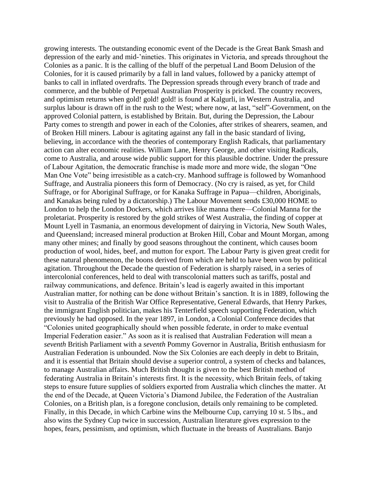growing interests. The outstanding economic event of the Decade is the Great Bank Smash and depression of the early and mid-'nineties. This originates in Victoria, and spreads throughout the Colonies as a panic. It is the calling of the bluff of the perpetual Land Boom Delusion of the Colonies, for it is caused primarily by a fall in land values, followed by a panicky attempt of banks to call in inflated overdrafts. The Depression spreads through every branch of trade and commerce, and the bubble of Perpetual Australian Prosperity is pricked. The country recovers, and optimism returns when gold! gold! gold! is found at Kalgurli, in Western Australia, and surplus labour is drawn off in the rush to the West; where now, at last, "self"-Government, on the approved Colonial pattern, is established by Britain. But, during the Depression, the Labour Party comes to strength and power in each of the Colonies, after strikes of shearers, seamen, and of Broken Hill miners. Labour is agitating against any fall in the basic standard of living, believing, in accordance with the theories of contemporary English Radicals, that parliamentary action can alter economic realities. William Lane, Henry George, and other visiting Radicals, come to Australia, and arouse wide public support for this plausible doctrine. Under the pressure of Labour Agitation, the democratic franchise is made more and more wide, the slogan "One Man One Vote" being irresistible as a catch-cry. Manhood suffrage is followed by Womanhood Suffrage, and Australia pioneers this form of Democracy. (No cry is raised, as yet, for Child Suffrage, or for Aboriginal Suffrage, or for Kanaka Suffrage in Papua—children, Aboriginals, and Kanakas being ruled by a dictatorship.) The Labour Movement sends £30,000 HOME to London to help the London Dockers, which arrives like manna there—Colonial Manna for the proletariat. Prosperity is restored by the gold strikes of West Australia, the finding of copper at Mount Lyell in Tasmania, an enormous development of dairying in Victoria, New South Wales, and Queensland; increased mineral production at Broken Hill, Cobar and Mount Morgan, among many other mines; and finally by good seasons throughout the continent, which causes boom production of wool, hides, beef, and mutton for export. The Labour Party is given great credit for these natural phenomenon, the boons derived from which are held to have been won by political agitation. Throughout the Decade the question of Federation is sharply raised, in a series of intercolonial conferences, held to deal with transcolonial matters such as tariffs, postal and railway communications, and defence. Britain's lead is eagerly awaited in this important Australian matter, for nothing can be done without Britain's sanction. It is in 1889, following the visit to Australia of the British War Office Representative, General Edwards, that Henry Parkes, the immigrant English politician, makes his Tenterfield speech supporting Federation, which previously he had opposed. In the year 1897, in London, a Colonial Conference decides that "Colonies united geographically should when possible federate, in order to make eventual Imperial Federation easier." As soon as it is realised that Australian Federation will mean a *seventh* British Parliament with a *seventh* Pommy Governor in Australia, British enthusiasm for Australian Federation is unbounded. Now the Six Colonies are each deeply in debt to Britain, and it is essential that Britain should devise a superior control, a system of checks and balances, to manage Australian affairs. Much British thought is given to the best British method of federating Australia in Britain's interests first. It is the necessity, which Britain feels, of taking steps to ensure future supplies of soldiers exported from Australia which clinches the matter. At the end of the Decade, at Queen Victoria's Diamond Jubilee, the Federation of the Australian Colonies, on a British plan, is a foregone conclusion, details only remaining to be completed. Finally, in this Decade, in which Carbine wins the Melbourne Cup, carrying 10 st. 5 lbs., and also wins the Sydney Cup twice in succession, Australian literature gives expression to the hopes, fears, pessimism, and optimism, which fluctuate in the breasts of Australians. Banjo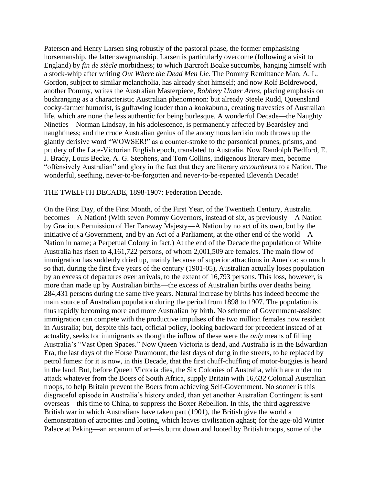Paterson and Henry Larsen sing robustly of the pastoral phase, the former emphasising horsemanship, the latter swagmanship. Larsen is particularly overcome (following a visit to England) by *fin de siècle* morbidness; to which Barcroft Boake succumbs, hanging himself with a stock-whip after writing *Out Where the Dead Men Lie*. The Pommy Remittance Man, A. L. Gordon, subject to similar melancholia, has already shot himself; and now Rolf Boldrewood, another Pommy, writes the Australian Masterpiece, *Robbery Under Arms*, placing emphasis on bushranging as a characteristic Australian phenomenon: but already Steele Rudd, Queensland cocky-farmer humorist, is guffawing louder than a kookaburra, creating travesties of Australian life, which are none the less authentic for being burlesque. A wonderful Decade—the Naughty Nineties—Norman Lindsay, in his adolescence, is permanently affected by Beardsley and naughtiness; and the crude Australian genius of the anonymous larrikin mob throws up the giantly derisive word "WOWSER!" as a counter-stroke to the parsonical prunes, prisms, and prudery of the Late-Victorian English epoch, translated to Australia. Now Randolph Bedford, E. J. Brady, Louis Becke, A. G. Stephens, and Tom Collins, indigenous literary men, become "offensively Australian" and glory in the fact that they are literary *accoucheurs* to a Nation. The wonderful, seething, never-to-be-forgotten and never-to-be-repeated Eleventh Decade!

#### THE TWELFTH DECADE, 1898-1907: Federation Decade.

On the First Day, of the First Month, of the First Year, of the Twentieth Century, Australia becomes—A Nation! (With seven Pommy Governors, instead of six, as previously—A Nation by Gracious Permission of Her Faraway Majesty—A Nation by no act of its own, but by the initiative of a Government, and by an Act of a Parliament, at the other end of the world—A Nation in name; a Perpetual Colony in fact.) At the end of the Decade the population of White Australia has risen to 4,161,722 persons, of whom 2,001,509 are females. The main flow of immigration has suddenly dried up, mainly because of superior attractions in America: so much so that, during the first five years of the century (1901-05), Australian actually loses population by an excess of departures over arrivals, to the extent of 16,793 persons. This loss, however, is more than made up by Australian births—the excess of Australian births over deaths being 284,431 persons during the same five years. Natural increase by births has indeed become the main source of Australian population during the period from 1898 to 1907. The population is thus rapidly becoming more and more Australian by birth. No scheme of Government-assisted immigration can compete with the productive impulses of the two million females now resident in Australia; but, despite this fact, official policy, looking backward for precedent instead of at actuality, seeks for immigrants as though the inflow of these were the *only* means of filling Australia's "Vast Open Spaces." Now Queen Victoria is dead, and Australia is in the Edwardian Era, the last days of the Horse Paramount, the last days of dung in the streets, to be replaced by petrol fumes: for it is now, in this Decade, that the first chuff-chuffing of motor-buggies is heard in the land. But, before Queen Victoria dies, the Six Colonies of Australia, which are under no attack whatever from the Boers of South Africa, supply Britain with 16,632 Colonial Australian troops, to help Britain prevent the Boers from achieving Self-Government. No sooner is this disgraceful episode in Australia's history ended, than yet another Australian Contingent is sent overseas—this time to China, to suppress the Boxer Rebellion. In this, the third aggressive British war in which Australians have taken part (1901), the British give the world a demonstration of atrocities and looting, which leaves civilisation aghast; for the age-old Winter Palace at Peking—an arcanum of art—is burnt down and looted by British troops, some of the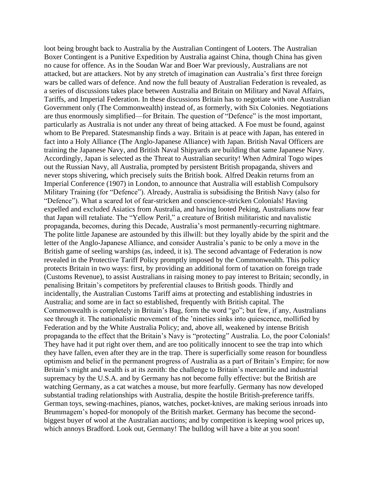loot being brought back to Australia by the Australian Contingent of Looters. The Australian Boxer Contingent is a Punitive Expedition by Australia against China, though China has given no cause for offence. As in the Soudan War and Boer War previously, Australians are not attacked, but are attackers. Not by any stretch of imagination can Australia's first three foreign wars be called wars of defence. And now the full beauty of Australian Federation is revealed, as a series of discussions takes place between Australia and Britain on Military and Naval Affairs, Tariffs, and Imperial Federation. In these discussions Britain has to negotiate with one Australian Government only (The Commonwealth) instead of, as formerly, with Six Colonies. Negotiations are thus enormously simplified—for Britain. The question of "Defence" is the most important, particularly as Australia is not under any threat of being attacked. A Foe must be found, against whom to Be Prepared. Statesmanship finds a way. Britain is at peace with Japan, has entered in fact into a Holy Alliance (The Anglo-Japanese Alliance) with Japan. British Naval Officers are training the Japanese Navy, and British Naval Shipyards are building that same Japanese Navy. Accordingly, Japan is selected as the Threat to Australian security! When Admiral Togo wipes out the Russian Navy, all Australia, prompted by persistent British propaganda, shivers and never stops shivering, which precisely suits the British book. Alfred Deakin returns from an Imperial Conference (1907) in London, to announce that Australia will establish Compulsory Military Training (for "Defence"). Already, Australia is subsidising the British Navy (also for "Defence"). What a scared lot of fear-stricken and conscience-stricken Colonials! Having expelled and excluded Asiatics from Australia, and having looted Peking, Australians now fear that Japan will retaliate. The "Yellow Peril," a creature of British militaristic and navalistic propaganda, becomes, during this Decade, Australia's most permanently-recurring nightmare. The polite little Japanese are astounded by this illwill: but they loyally abide by the spirit and the letter of the Anglo-Japanese Alliance, and consider Australia's panic to be only a move in the British game of seeling warships (as, indeed, it is). The second advantage of Federation is now revealed in the Protective Tariff Policy promptly imposed by the Commonwealth. This policy protects Britain in two ways: first, by providing an additional form of taxation on foreign trade (Customs Revenue), to assist Australians in raising money to pay interest to Britain; secondly, in penalising Britain's competitors by preferential clauses to British goods. Thirdly and incidentally, the Australian Customs Tariff aims at protecting and establishing industries in Australia; and some are in fact so established, frequently with British capital. The Commonwealth is completely in Britain's Bag, form the word "go"; but few, if any, Australians see through it. The nationalistic movement of the 'nineties sinks into quiescence, mollified by Federation and by the White Australia Policy; and, above all, weakened by intense British propaganda to the effect that the Britain's Navy is "protecting" Australia. Lo, the poor Colonials! They have had it put right over them, and are too politically innocent to see the trap into which they have fallen, even after they are in the trap. There is superficially some reason for boundless optimism and belief in the permanent progress of Australia as a part of Britain's Empire; for now Britain's might and wealth is at its zenith: the challenge to Britain's mercantile and industrial supremacy by the U.S.A. and by Germany has not become fully effective: but the British are watching Germany, as a cat watches a mouse, but more fearfully. Germany has now developed substantial trading relationships with Australia, despite the hostile British-preference tariffs. German toys, sewing-machines, pianos, watches, pocket-knives, are making serious inroads into Brummagem's hoped-for monopoly of the British market. Germany has become the secondbiggest buyer of wool at the Australian auctions; and by competition is keeping wool prices up, which annoys Bradford. Look out, Germany! The bulldog will have a bite at you soon!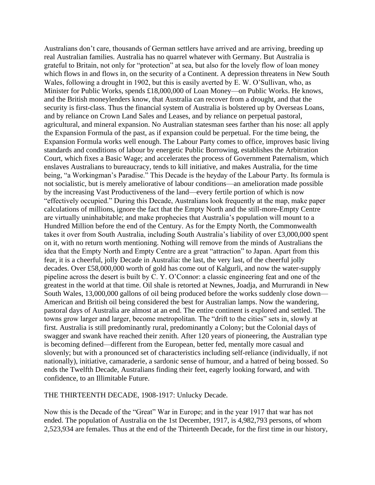Australians don't care, thousands of German settlers have arrived and are arriving, breeding up real Australian families. Australia has no quarrel whatever with Germany. But Australia is grateful to Britain, not only for "protection" at sea, but also for the lovely flow of loan money which flows in and flows in, on the security of a Continent. A depression threatens in New South Wales, following a drought in 1902, but this is easily averted by E. W. O'Sullivan, who, as Minister for Public Works, spends £18,000,000 of Loan Money—on Public Works. He knows, and the British moneylenders know, that Australia can recover from a drought, and that the security is first-class. Thus the financial system of Australia is bolstered up by Overseas Loans, and by reliance on Crown Land Sales and Leases, and by reliance on perpetual pastoral, agricultural, and mineral expansion. No Australian statesman sees farther than his nose: all apply the Expansion Formula of the past, as if expansion could be perpetual. For the time being, the Expansion Formula works well enough. The Labour Party comes to office, improves basic living standards and conditions of labour by energetic Public Borrowing, establishes the Arbitration Court, which fixes a Basic Wage; and accelerates the process of Government Paternalism, which enslaves Australians to bureaucracy, tends to kill initiative, and makes Australia, for the time being, "a Workingman's Paradise." This Decade is the heyday of the Labour Party. Its formula is not socialistic, but is merely ameliorative of labour conditions—an amelioration made possible by the increasing Vast Productiveness of the land—every fertile portion of which is now "effectively occupied." During this Decade, Australians look frequently at the map, make paper calculations of millions, ignore the fact that the Empty North and the still-more-Empty Centre are virtually uninhabitable; and make prophecies that Australia's population will mount to a Hundred Million before the end of the Century. As for the Empty North, the Commonwealth takes it over from South Australia, including South Australia's liability of over £3,000,000 spent on it, with no return worth mentioning. Nothing will remove from the minds of Australians the idea that the Empty North and Empty Centre are a great "attraction" to Japan. Apart from this fear, it is a cheerful, jolly Decade in Australia: the last, the very last, of the cheerful jolly decades. Over £58,000,000 worth of gold has come out of Kalgurli, and now the water-supply pipeline across the desert is built by C. Y. O'Connor: a classic engineering feat and one of the greatest in the world at that time. Oil shale is retorted at Newnes, Joadja, and Murrurandi in New South Wales, 13,000,000 gallons of oil being produced before the works suddenly close down— American and British oil being considered the best for Australian lamps. Now the wandering, pastoral days of Australia are almost at an end. The entire continent is explored and settled. The towns grow larger and larger, become metropolitan. The "drift to the cities" sets in, slowly at first. Australia is still predominantly rural, predominantly a Colony; but the Colonial days of swagger and swank have reached their zenith. After 120 years of pioneering, the Australian type is becoming defined—different from the European, better fed, mentally more casual and slovenly; but with a pronounced set of characteristics including self-reliance (individually, if not nationally), initiative, camaraderie, a sardonic sense of humour, and a hatred of being bossed. So ends the Twelfth Decade, Australians finding their feet, eagerly looking forward, and with confidence, to an Illimitable Future.

THE THIRTEENTH DECADE, 1908-1917: Unlucky Decade.

Now this is the Decade of the "Great" War in Europe; and in the year 1917 that war has not ended. The population of Australia on the 1st December, 1917, is 4,982,793 persons, of whom 2,523,934 are females. Thus at the end of the Thirteenth Decade, for the first time in our history,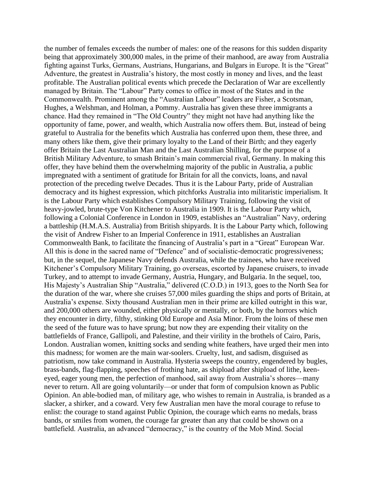the number of females exceeds the number of males: one of the reasons for this sudden disparity being that approximately 300,000 males, in the prime of their manhood, are away from Australia fighting against Turks, Germans, Austrians, Hungarians, and Bulgars in Europe. It is the "Great" Adventure, the greatest in Australia's history, the most costly in money and lives, and the least profitable. The Australian political events which precede the Declaration of War are excellently managed by Britain. The "Labour" Party comes to office in most of the States and in the Commonwealth. Prominent among the "Australian Labour" leaders are Fisher, a Scotsman, Hughes, a Welshman, and Holman, a Pommy. Australia has given these three immigrants a chance. Had they remained in "The Old Country" they might not have had anything like the opportunity of fame, power, and wealth, which Australia now offers them. But, instead of being grateful to Australia for the benefits which Australia has conferred upon them, these three, and many others like them, give their primary loyalty to the Land of their Birth; and they eagerly offer Britain the Last Australian Man and the Last Australian Shilling, for the purpose of a British Military Adventure, to smash Britain's main commercial rival, Germany. In making this offer, they have behind them the overwhelming majority of the public in Australia, a public impregnated with a sentiment of gratitude for Britain for all the convicts, loans, and naval protection of the preceding twelve Decades. Thus it is the Labour Party, pride of Australian democracy and its highest expression, which pitchforks Australia into militaristic imperialism. It is the Labour Party which establishes Compulsory Military Training, following the visit of heavy-jowled, brute-type Von Kitchener to Australia in 1909. It is the Labour Party which, following a Colonial Conference in London in 1909, establishes an "Australian" Navy, ordering a battleship (H.M.A.S. Australia) from British shipyards. It is the Labour Party which, following the visit of Andrew Fisher to an Imperial Conference in 1911, establishes an Australian Commonwealth Bank, to facilitate the financing of Australia's part in a "Great" European War. All this is done in the sacred name of "Defence" and of socialistic-democratic progressiveness; but, in the sequel, the Japanese Navy defends Australia, while the trainees, who have received Kitchener's Compulsory Military Training, go overseas, escorted by Japanese cruisers, to invade Turkey, and to attempt to invade Germany, Austria, Hungary, and Bulgaria. In the sequel, too, His Majesty's Australian Ship "Australia," delivered (C.O.D.) in 1913, goes to the North Sea for the duration of the war, where she cruises 57,000 miles guarding the ships and ports of Britain, at Australia's expense. Sixty thousand Australian men in their prime are killed outright in this war, and 200,000 others are wounded, either physically or mentally, or both, by the horrors which they encounter in dirty, filthy, stinking Old Europe and Asia Minor. From the loins of these men the seed of the future was to have sprung; but now they are expending their vitality on the battlefields of France, Gallipoli, and Palestine, and their virility in the brothels of Cairo, Paris, London. Australian women, knitting socks and sending white feathers, have urged their men into this madness; for women are the main war-soolers. Cruelty, lust, and sadism, disguised as patriotism, now take command in Australia. Hysteria sweeps the country, engendered by bugles, brass-bands, flag-flapping, speeches of frothing hate, as shipload after shipload of lithe, keeneyed, eager young men, the perfection of manhood, sail away from Australia's shores—many never to return. All are going voluntarily—or under that form of compulsion known as Public Opinion. An able-bodied man, of military age, who wishes to remain in Australia, is branded as a slacker, a shirker, and a coward. Very few Australian men have the moral courage to refuse to enlist: the courage to stand against Public Opinion, the courage which earns no medals, brass bands, or smiles from women, the courage far greater than any that could be shown on a battlefield. Australia, an advanced "democracy," is the country of the Mob Mind. Social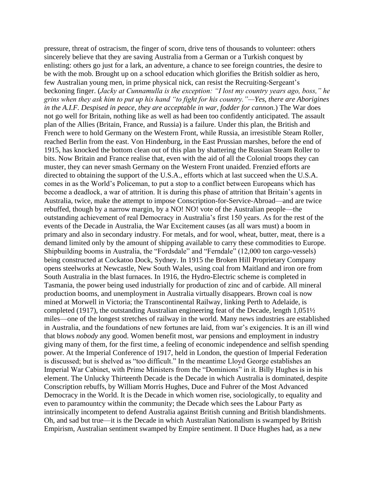pressure, threat of ostracism, the finger of scorn, drive tens of thousands to volunteer: others sincerely believe that they are saving Australia from a German or a Turkish conquest by enlisting: others go just for a lark, an adventure, a chance to see foreign countries, the desire to be with the mob. Brought up on a school education which glorifies the British soldier as hero, few Australian young men, in prime physical nick, can resist the Recruiting-Sergeant's beckoning finger. (*Jacky at Cunnamulla is the exception: "I lost my country years ago, boss," he grins when they ask him to put up his hand "to fight for his country."—Yes, there are Aborigines in the A.I.F. Despised in peace, they are acceptable in war, fodder for cannon.*) The War does not go well for Britain, nothing like as well as had been too confidently anticipated. The assault plan of the Allies (Britain, France, and Russia) is a failure. Under this plan, the British and French were to hold Germany on the Western Front, while Russia, an irresistible Steam Roller, reached Berlin from the east. Von Hindenburg, in the East Prussian marshes, before the end of 1915, has knocked the bottom clean out of this plan by shattering the Russian Steam Roller to bits. Now Britain and France realise that, even with the aid of all the Colonial troops they can muster, they can never smash Germany on the Western Front unaided. Frenzied efforts are directed to obtaining the support of the U.S.A., efforts which at last succeed when the U.S.A. comes in as the World's Policeman, to put a stop to a conflict between Europeans which has become a deadlock, a war of attrition. It is during this phase of attrition that Britain's agents in Australia, twice, make the attempt to impose Conscription-for-Service-Abroad—and are twice rebuffed, though by a narrow margin, by a NO! NO! vote of the Australian people—the outstanding achievement of real Democracy in Australia's first 150 years. As for the rest of the events of the Decade in Australia, the War Excitement causes (as all wars must) a boom in primary and also in secondary industry. For metals, and for wool, wheat, butter, meat, there is a demand limited only by the amount of shipping available to carry these commodities to Europe. Shipbuilding booms in Australia, the "Fordsdale" and "Ferndale" (12,000 ton cargo-vessels) being constructed at Cockatoo Dock, Sydney. In 1915 the Broken Hill Proprietary Company opens steelworks at Newcastle, New South Wales, using coal from Maitland and iron ore from South Australia in the blast furnaces. In 1916, the Hydro-Electric scheme is completed in Tasmania, the power being used industrially for production of zinc and of carbide. All mineral production booms, and unemployment in Australia virtually disappears. Brown coal is now mined at Morwell in Victoria; the Transcontinental Railway, linking Perth to Adelaide, is completed (1917), the outstanding Australian engineering feat of the Decade, length 1,051½ miles—one of the longest stretches of railway in the world. Many news industries are established in Australia, and the foundations of new fortunes are laid, from war's exigencies. It is an ill wind that blows *nobody* any good. Women benefit most, war pensions and employment in industry giving many of them, for the first time, a feeling of economic independence and selfish spending power. At the Imperial Conference of 1917, held in London, the question of Imperial Federation is discussed; but is shelved as "too difficult." In the meantime Lloyd George establishes an Imperial War Cabinet, with Prime Ministers from the "Dominions" in it. Billy Hughes is in his element. The Unlucky Thirteenth Decade is the Decade in which Australia is dominated, despite Conscription rebuffs, by William Morris Hughes, Duce and Fuhrer of the Most Advanced Democracy in the World. It is the Decade in which women rise, sociologically, to equality and even to paramountcy within the community; the Decade which sees the Labour Party as intrinsically incompetent to defend Australia against British cunning and British blandishments. Oh, and sad but true—it is the Decade in which Australian Nationalism is swamped by British Empirism, Australian sentiment swamped by Empire sentiment. Il Duce Hughes had, as a new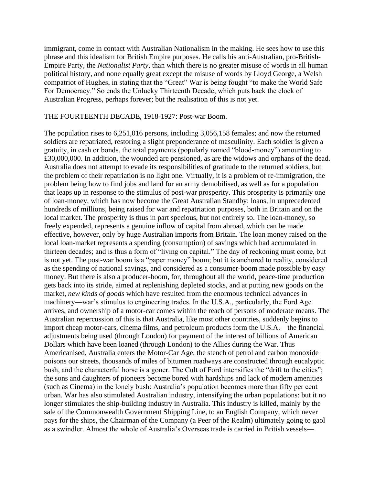immigrant, come in contact with Australian Nationalism in the making. He sees how to use this phrase and this idealism for British Empire purposes. He calls his anti-Australian, pro-British-Empire Party, the *Nationalist Party*, than which there is no greater misuse of words in all human political history, and none equally great except the misuse of words by Lloyd George, a Welsh compatriot of Hughes, in stating that the "Great" War is being fought "to make the World Safe For Democracy." So ends the Unlucky Thirteenth Decade, which puts back the clock of Australian Progress, perhaps forever; but the realisation of this is not yet.

### THE FOURTEENTH DECADE, 1918-1927: Post-war Boom.

The population rises to 6,251,016 persons, including 3,056,158 females; and now the returned soldiers are repatriated, restoring a slight preponderance of masculinity. Each soldier is given a gratuity, in cash or bonds, the total payments (popularly named "blood-money") amounting to £30,000,000. In addition, the wounded are pensioned, as are the widows and orphans of the dead. Australia does not attempt to evade its responsibilities of gratitude to the returned soldiers, but the problem of their repatriation is no light one. Virtually, it is a problem of re-immigration, the problem being how to find jobs and land for an army demobilised, as well as for a population that leaps up in response to the stimulus of post-war prosperity. This prosperity is primarily one of loan-money, which has now become the Great Australian Standby: loans, in unprecedented hundreds of millions, being raised for war and repatriation purposes, both in Britain and on the local market. The prosperity is thus in part specious, but not entirely so. The loan-money, so freely expended, represents a genuine inflow of capital from abroad, which can be made effective, however, only by huge Australian imports from Britain. The loan money raised on the local loan-market represents a spending (consumption) of savings which had accumulated in thirteen decades; and is thus a form of "living on capital." The day of reckoning must come, but is not yet. The post-war boom is a "paper money" boom; but it is anchored to reality, considered as the spending of national savings, and considered as a consumer-boom made possible by easy money. But there is also a producer-boom, for, throughout all the world, peace-time production gets back into its stride, aimed at replenishing depleted stocks, and at putting new goods on the market, *new kinds of goods* which have resulted from the enormous technical advances in machinery—war's stimulus to engineering trades. In the U.S.A., particularly, the Ford Age arrives, and ownership of a motor-car comes within the reach of persons of moderate means. The Australian repercussion of this is that Australia, like most other countries, suddenly begins to import cheap motor-cars, cinema films, and petroleum products form the U.S.A.—the financial adjustments being used (through London) for payment of the interest of billions of American Dollars which have been loaned (through London) to the Allies during the War. Thus Americanised, Australia enters the Motor-Car Age, the stench of petrol and carbon monoxide poisons our streets, thousands of miles of bitumen roadways are constructed through eucalyptic bush, and the characterful horse is a goner. The Cult of Ford intensifies the "drift to the cities"; the sons and daughters of pioneers become bored with hardships and lack of modern amenities (such as Cinema) in the lonely bush: Australia's population becomes more than fifty per cent urban. War has also stimulated Australian industry, intensifying the urban populations: but it no longer stimulates the ship-building industry in Australia. This industry is killed, mainly by the sale of the Commonwealth Government Shipping Line, to an English Company, which never pays for the ships, the Chairman of the Company (a Peer of the Realm) ultimately going to gaol as a swindler. Almost the whole of Australia's Overseas trade is carried in British vessels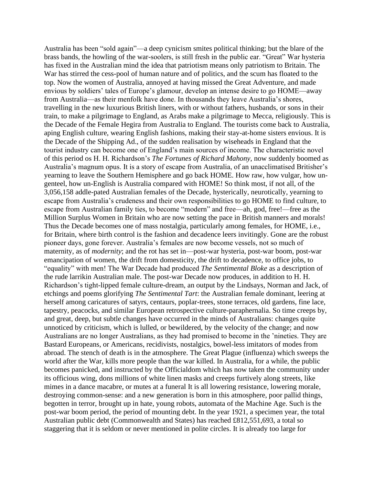Australia has been "sold again"—a deep cynicism smites political thinking; but the blare of the brass bands, the howling of the war-soolers, is still fresh in the public ear. "Great" War hysteria has fixed in the Australian mind the idea that patriotism means only patriotism to Britain. The War has stirred the cess-pool of human nature and of politics, and the scum has floated to the top. Now the women of Australia, annoyed at having missed the Great Adventure, and made envious by soldiers' tales of Europe's glamour, develop an intense desire to go HOME—away from Australia—as their menfolk have done. In thousands they leave Australia's shores, travelling in the new luxurious British liners, with or without fathers, husbands, or sons in their train, to make a pilgrimage to England, as Arabs make a pilgrimage to Mecca, religiously. This is the Decade of the Female Hegira from Australia to England. The tourists come back to Australia, aping English culture, wearing English fashions, making their stay-at-home sisters envious. It is the Decade of the Shipping Ad., of the sudden realisation by wiseheads in England that the tourist industry can become one of England's main sources of income. The characteristic novel of this period os H. H. Richardson's *The Fortunes of Richard Mahony*, now suddenly boomed as Australia's magnum opus. It is a story of escape from Australia, of an unacclimatised Britisher's yearning to leave the Southern Hemisphere and go back HOME. How raw, how vulgar, how ungenteel, how un-English is Australia compared with HOME! So think most, if not all, of the 3,056,158 addle-pated Australian females of the Decade, hysterically, neurotically, yearning to escape from Australia's crudeness and their own responsibilities to go HOME to find culture, to escape from Australian family ties, to become "modern" and free—ah, god, free!—free as the Million Surplus Women in Britain who are now setting the pace in British manners and morals! Thus the Decade becomes one of mass nostalgia, particularly among females, for HOME, i.e., for Britain, where birth control is the fashion and decadence leers invitingly. Gone are the robust pioneer days, gone forever. Australia's females are now become vessels, not so much of maternity, as of *modernity*; and the rot has set in—post-war hysteria, post-war boom, post-war emancipation of women, the drift from domesticity, the drift to decadence, to office jobs, to "equality" with men! The War Decade had produced *The Sentimental Bloke* as a description of the rude larrikin Australian male. The post-war Decade now produces, in addition to H. H. Richardson's tight-lipped female culture-dream, an output by the Lindsays, Norman and Jack, of etchings and poems glorifying *The Sentimental Tart*: the Australian female dominant, leering at herself among caricatures of satyrs, centaurs, poplar-trees, stone terraces, old gardens, fine lace, tapestry, peacocks, and similar European retrospective culture-paraphernalia. So time creeps by, and great, deep, but subtle changes have occurred in the minds of Australians: changes quite unnoticed by criticism, which is lulled, or bewildered, by the velocity of the change; and now Australians are no longer Australians, as they had promised to become in the 'nineties. They are Bastard Europeans, or Americans, recidivists, nostalgics, bowel-less imitators of modes from abroad. The stench of death is in the atmosphere. The Great Plague (influenza) which sweeps the world after the War, kills more people than the war killed. In Australia, for a while, the public becomes panicked, and instructed by the Officialdom which has now taken the community under its officious wing, dons millions of white linen masks and creeps furtively along streets, like mimes in a dance macabre, or mutes at a funeral It is all lowering resistance, lowering morale, destroying common-sense: and a new generation is born in this atmosphere, poor pallid things, begotten in terror, brought up in hate, young robots, automata of the Machine Age. Such is the post-war boom period, the period of mounting debt. In the year 1921, a specimen year, the total Australian public debt (Commonwealth and States) has reached £812,551,693, a total so staggering that it is seldom or never mentioned in polite circles. It is already too large for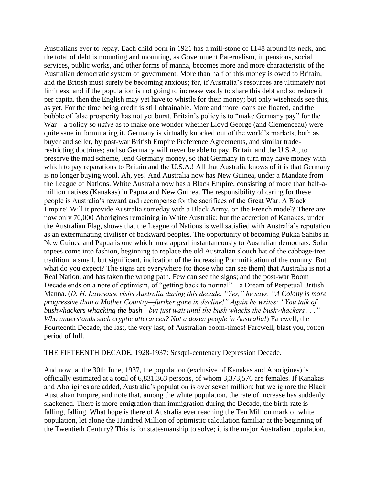Australians ever to repay. Each child born in 1921 has a mill-stone of £148 around its neck, and the total of debt is mounting and mounting, as Government Paternalism, in pensions, social services, public works, and other forms of manna, becomes more and more characteristic of the Australian democratic system of government. More than half of this money is owed to Britain, and the British must surely be becoming anxious; for, if Australia's resources are ultimately not limitless, and if the population is not going to increase vastly to share this debt and so reduce it per capita, then the English may yet have to whistle for their money; but only wiseheads see this, as yet. For the time being credit is still obtainable. More and more loans are floated, and the bubble of false prosperity has not yet burst. Britain's policy is to "make Germany pay" for the War—a policy so *naive* as to make one wonder whether Lloyd George (and Clemenceau) were quite sane in formulating it. Germany is virtually knocked out of the world's markets, both as buyer and seller, by post-war British Empire Preference Agreements, and similar traderestricting doctrines; and so Germany will never be able to pay. Britain and the U.S.A., to preserve the mad scheme, lend Germany money, so that Germany in turn may have money with which to pay reparations to Britain and the U.S.A.! All that Australia knows of it is that Germany is no longer buying wool. Ah, yes! And Australia now has New Guinea, under a Mandate from the League of Nations. White Australia now has a Black Empire, consisting of more than half-amillion natives (Kanakas) in Papua and New Guinea. The responsibility of caring for these people is Australia's reward and recompense for the sacrifices of the Great War. A Black Empire! Will it provide Australia someday with a Black Army, on the French model? There are now only 70,000 Aborigines remaining in White Australia; but the accretion of Kanakas, under the Australian Flag, shows that the League of Nations is well satisfied with Australia's reputation as an exterminating civiliser of backward peoples. The opportunity of becoming Pukka Sahibs in New Guinea and Papua is one which must appeal instantaneously to Australian democrats. Solar topees come into fashion, beginning to replace the old Australian slouch hat of the cabbage-tree tradition: a small, but significant, indication of the increasing Pommification of the country. But what do you expect? The signs are everywhere (to those who can see them) that Australia is not a Real Nation, and has taken the wrong path. Few can see the signs; and the post-war Boom Decade ends on a note of optimism, of "getting back to normal"—a Dream of Perpetual British Manna. (*D. H. Lawrence visits Australia during this decade. "Yes," he says. "A Colony is more progressive than a Mother Country—further gone in decline!" Again he writes: "You talk of bushwhackers whacking the bush—but just wait until the bush whacks the bushwhackers . . ." Who understands such cryptic utterances? Not a dozen people in Australia!*) Farewell, the Fourteenth Decade, the last, the very last, of Australian boom-times! Farewell, blast you, rotten period of lull.

THE FIFTEENTH DECADE, 1928-1937: Sesqui-centenary Depression Decade.

And now, at the 30th June, 1937, the population (exclusive of Kanakas and Aborigines) is officially estimated at a total of 6,831,363 persons, of whom 3,373,576 are females. If Kanakas and Aborigines are added, Australia's population is over seven million; but we ignore the Black Australian Empire, and note that, among the white population, the rate of increase has suddenly slackened. There is more emigration than immigration during the Decade, the birth-rate is falling, falling. What hope is there of Australia ever reaching the Ten Million mark of white population, let alone the Hundred Million of optimistic calculation familiar at the beginning of the Twentieth Century? This is for statesmanship to solve; it is the major Australian population.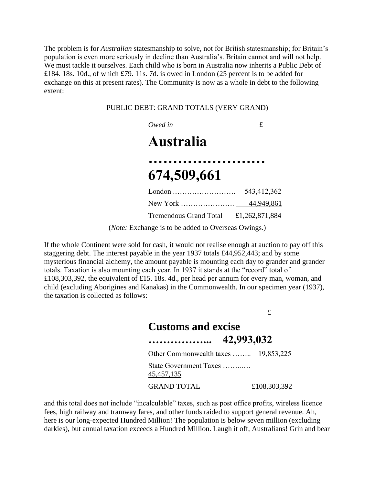The problem is for *Australian* statesmanship to solve, not for British statesmanship; for Britain's population is even more seriously in decline than Australia's. Britain cannot and will not help. We must tackle it ourselves. Each child who is born in Australia now inherits a Public Debt of £184. 18s. 10d., of which £79. 11s. 7d. is owed in London (25 percent is to be added for exchange on this at present rates). The Community is now as a whole in debt to the following extent:

PUBLIC DEBT: GRAND TOTALS (VERY GRAND)

## *Owed in* £ **Australia …………………… 674,509,661** London .……………………. 543,412,362 New York …………………. 44,949,861 Tremendous Grand Total — £1,262,871,884 (*Note:* Exchange is to be added to Overseas Owings.)

If the whole Continent were sold for cash, it would not realise enough at auction to pay off this staggering debt. The interest payable in the year 1937 totals £44,952,443; and by some mysterious financial alchemy, the amount payable is mounting each day to grander and grander totals. Taxation is also mounting each year. In 1937 it stands at the "record" total of £108,303,392, the equivalent of £15. 18s. 4d., per head per annum for every man, woman, and child (excluding Aborigines and Kanakas) in the Commonwealth. In our specimen year (1937), the taxation is collected as follows:

> £ **Customs and excise ……………... 42,993,032** Other Commonwealth taxes …….. 19,853,225 State Government Taxes ……..…. 45,457,135 GRAND TOTAL  $£108,303,392$

and this total does not include "incalculable" taxes, such as post office profits, wireless licence fees, high railway and tramway fares, and other funds raided to support general revenue. Ah, here is our long-expected Hundred Million! The population is below seven million (excluding darkies), but annual taxation exceeds a Hundred Million. Laugh it off, Australians! Grin and bear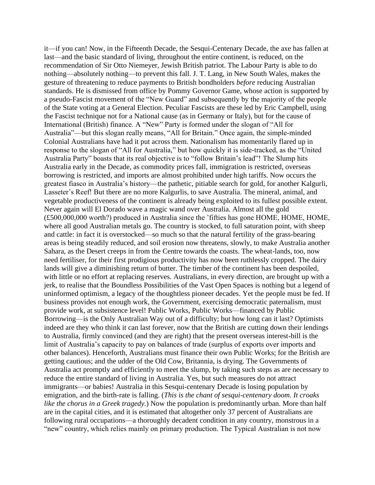it—if you can! Now, in the Fifteenth Decade, the Sesqui-Centenary Decade, the axe has fallen at last—and the basic standard of living, throughout the entire continent, is reduced, on the recommendation of Sir Otto Niemeyer, Jewish British patriot. The Labour Party is able to do nothing—absolutely nothing—to prevent this fall. J. T. Lang, in New South Wales, makes the gesture of threatening to reduce payments to British bondholders *before* reducing Australian standards. He is dismissed from office by Pommy Governor Game, whose action is supported by a pseudo-Fascist movement of the "New Guard" and subsequently by the majority of the people of the State voting at a General Election. Peculiar Fascists are these led by Eric Campbell, using the Fascist technique not for a National cause (as in Germany or Italy), but for the cause of International (British) finance. A "New" Party is formed under the slogan of "All for Australia"—but this slogan really means, "All for Britain." Once again, the simple-minded Colonial Australians have had it put across them. Nationalism has momentarily flared up in response to the slogan of "All for Australia," but how quickly it is side-tracked, as the "United Australia Party" boasts that its real objective is to "follow Britain's lead"! The Slump hits Australia early in the Decade, as commodity prices fall, immigration is restricted, overseas borrowing is restricted, and imports are almost prohibited under high tariffs. Now occurs the greatest fiasco in Australia's history—the pathetic, pitiable search for gold, for another Kalgurli, Lasseter's Reef! But there are no more Kalgurlis, to save Australia. The mineral, animal, and vegetable productiveness of the continent is already being exploited to its fullest possible extent. Never again will El Dorado wave a magic wand over Australia. Almost all the gold (£500,000,000 worth?) produced in Australia since the 'fifties has gone HOME, HOME, HOME, where all good Australian metals go. The country is stocked, to full saturation point, with sheep and cattle: in fact it is overstocked—so much so that the natural fertility of the grass-bearing areas is being steadily reduced, and soil erosion now threatens, slowly, to make Australia another Sahara, as the Desert creeps in from the Centre towards the coasts. The wheat-lands, too, now need fertiliser, for their first prodigious productivity has now been ruthlessly cropped. The dairy lands will give a diminishing return of butter. The timber of the continent has been despoiled, with little or no effort at replacing reserves. Australians, in every direction, are brought up with a jerk, to realise that the Boundless Possibilities of the Vast Open Spaces is nothing but a legend of uninformed optimism, a legacy of the thoughtless pioneer decades. Yet the people must be fed. If business provides not enough work, the Government, exercising democratic paternalism, must provide work, at subsistence level! Public Works, Public Works—financed by Public Borrowing—is the Only Australian Way out of a difficulty; but how long can it last? Optimists indeed are they who think it can last forever, now that the British are cutting down their lendings to Australia, firmly convinced (and they are right) that the present overseas interest-bill is the limit of Australia's capacity to pay on balances of trade (surplus of exports over imports and other balances). Henceforth, Australians must finance their own Public Works; for the British are getting cautious; and the udder of the Old Cow, Britannia, is drying. The Governments of Australia act promptly and efficiently to meet the slump, by taking such steps as are necessary to reduce the entire standard of living in Australia. Yes, but such measures do not attract immigrants—or babies! Australia in this Sesqui-centenary Decade is losing population by emigration, and the birth-rate is falling. (*This is the chant of sesqui-centenary doom. It croaks like the chorus in a Greek tragedy.*) Now the population is predominantly urban. More than half are in the capital cities, and it is estimated that altogether only 37 percent of Australians are following rural occupations—a thoroughly decadent condition in any country, monstrous in a "new" country, which relies mainly on primary production. The Typical Australian is not now